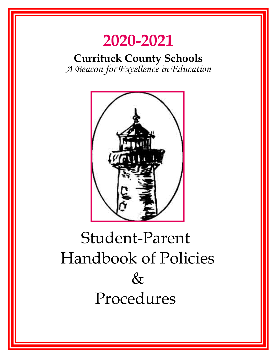# **2020-2021**

**Currituck County Schools**  *A Beacon for Excellence in Education* 



# Student-Parent Handbook of Policies  $&$ Procedures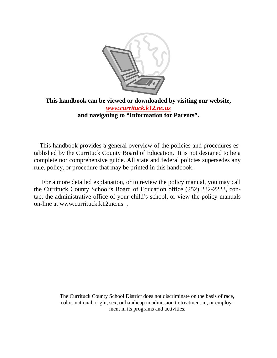

### **This handbook can be viewed or downloaded by visiting our website,**  *www.currituck.k12.nc.us*  **and navigating to "Information for Parents".**

 This handbook provides a general overview of the policies and procedures established by the Currituck County Board of Education. It is not designed to be a complete nor comprehensive guide. All state and federal policies supersedes any rule, policy, or procedure that may be printed in this handbook.

 For a more detailed explanation, or to review the policy manual, you may call the Currituck County School's Board of Education office (252) 232-2223, contact the administrative office of your child's school, or view the policy manuals on-line at www.currituck.k12.nc.us .

> The Currituck County School District does not discriminate on the basis of race, color, national origin, sex, or handicap in admission to treatment in, or employment in its programs and activities.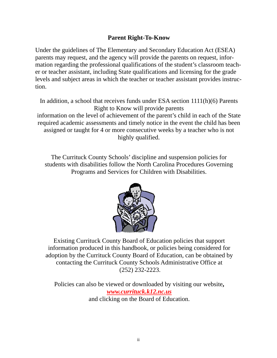### **Parent Right-To-Know**

Under the guidelines of The Elementary and Secondary Education Act (ESEA) parents may request, and the agency will provide the parents on request, information regarding the professional qualifications of the student's classroom teacher or teacher assistant, including State qualifications and licensing for the grade levels and subject areas in which the teacher or teacher assistant provides instruction.

In addition, a school that receives funds under ESA section 1111(h)(6) Parents Right to Know will provide parents information on the level of achievement of the parent's child in each of the State required academic assessments and timely notice in the event the child has been assigned or taught for 4 or more consecutive weeks by a teacher who is not highly qualified.

The Currituck County Schools' discipline and suspension policies for students with disabilities follow the North Carolina Procedures Governing Programs and Services for Children with Disabilities.



Existing Currituck County Board of Education policies that support information produced in this handbook, or policies being considered for adoption by the Currituck County Board of Education, can be obtained by contacting the Currituck County Schools Administrative Office at (252) 232-2223.

Policies can also be viewed or downloaded by visiting our website**,**  *www.currituck.k12.nc.us*  and clicking on the Board of Education.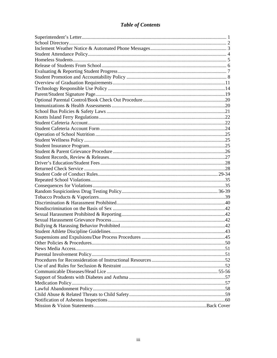### **Table of Contents**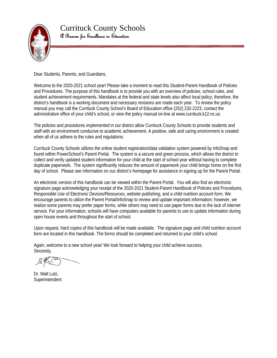

 $\overline{a}$ 

Currituck County Schools A Beacon for Excellence in Education

Dear Students, Parents, and Guardians,

Welcome to the 2020-2021 school year! Please take a moment to read this Student-Parent Handbook of Policies and Procedures. The purpose of this handbook is to provide you with an overview of policies, school rules, and student achievement requirements. Mandates at the federal and state levels also affect local policy; therefore, the district's handbook is a working document and necessary revisions are made each year. To review the policy manual you may call the Currituck County School's Board of Education office (252) 232-2223, contact the administrative office of your child's school, or view the policy manual on-line at www.currituck.k12.nc.us.

The policies and procedures implemented in our district allow Currituck County Schools to provide students and staff with an environment conducive to academic achievement. A positive, safe and caring environment is created when all of us adhere to the rules and regulations.

Currituck County Schools utilizes the online student registration/data validation system powered by InfoSnap and found within PowerSchool's Parent Portal. The system is a secure and green process, which allows the district to collect and verify updated student information for your child at the start of school year without having to complete duplicate paperwork. The system significantly reduces the amount of paperwork your child brings home on the first day of school. Please see information on our district's homepage for assistance in signing up for the Parent Portal.

An electronic version of this handbook can be viewed within the Parent Portal. You will also find an electronic signature page acknowledging your receipt of the 2020-2021 Student-Parent Handbook of Policies and Procedures, Responsible Use of Electronic Devices/Resources, website publishing, and a child nutrition account form. We encourage parents to utilize the Parent Portal/InfoSnap to review and update important information; however, we realize some parents may prefer paper forms, while others may need to use paper forms due to the lack of internet service. For your information, schools will have computers available for parents to use to update information during open house events and throughout the start of school.

Upon request, hard copies of this handbook will be made available. The signature page and child nutrition account form are located in this handbook. The forms should be completed and returned to your child's school.

Again, welcome to a new school year! We look forward to helping your child achieve success. Sincerely,

Dr. Matt Lutz, Superintendent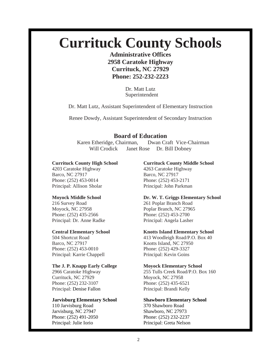# **Currituck County Schools**

**Administrative Offices 2958 Caratoke Highway Currituck, NC 27929 Phone: 252-232-2223** 

> Dr. Matt Lutz Superintendent

Dr. Matt Lutz, Assistant Superintendent of Elementary Instruction

Renee Dowdy, Assistant Superintendent of Secondary Instruction

### **Board of Education**

 Karen Etheridge, Chairman, Dwan Craft Vice-Chairman Will Crodick Janet Rose Dr. Bill Dobney

4203 Caratoke Highway 4263 Caratoke Highway Barco, NC 27917 Barco, NC 27917 Phone: (252) 453-0014 Phone: (252) 453-2171 Principal: Allison Sholar Principal: John Parkman

216 Survey Road 261 Poplar Branch Road Moyock, NC 27958 Poplar Branch, NC 27965 Phone: (252) 435-2566 Phone: (252) 453-2700 Principal: Dr. Anne Radke Principal: Angela Lasher

Barco, NC 27917 Knotts Island, NC 27950 Phone: (252) 453-0010 Phone: (252) 429-3327 Principal: Karrie Chappell Principal: Kevin Goins

#### **The J. P. Knapp Early College Moyock Elementary School**

Currituck, NC 27929 Moyock, NC 27958 Phone: (252) 232-3107 Phone: (252) 435-6521 Principal: Denise Fallon Principal: Brandi Kelly

#### **Jarvisburg Elementary School Shawboro Elementary School**

110 Jarvisburg Road 370 Shawboro Road Jarvisburg, NC 27947 Shawboro, NC 27973 Phone: (252) 491-2050 Phone: (252) 232-2237 Principal: Julie Iorio Principal: Greta Nelson

### **Currituck County High School Currituck County Middle School**

# **Moyock Middle School Dr. W. T. Griggs Elementary School**

#### **Central Elementary School Knotts Island Elementary School**

504 Shortcut Road 413 Woodleigh Road/P.O. Box 40

2966 Caratoke Highway 255 Tulls Creek Road/P.O. Box 160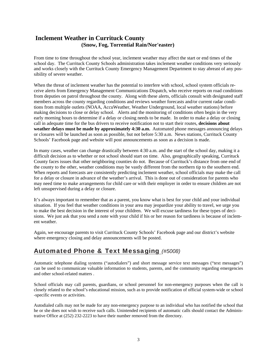### **Inclement Weather in Currituck County (Snow, Fog, Torrential Rain/Nor'easter)**

From time to time throughout the school year, inclement weather may affect the start or end times of the school day. The Currituck County Schools administration takes inclement weather conditions very seriously and works closely with the Currituck County Emergency Management Department to stay abreast of any possibility of severe weather.

When the threat of inclement weather has the potential to interfere with school, school system officials receive alerts from Emergency Management Communications Dispatch, who receive reports on road conditions from deputies on patrol throughout the county. Along with these alerts, officials consult with designated staff members across the county regarding conditions and reviews weather forecasts and/or current radar conditions from multiple outlets (NOAA, AccuWeather, Weather Underground, local weather stations) before making decisions to close or delay school. Alerts and the monitoring of conditions often begin in the very early morning hours to determine if a delay or closing needs to be made. In order to make a delay or closing call in adequate time for the bus drivers to receive notification not to start their routes, **decisions about weather delays must be made by approximately 4:30 a.m.** Automated phone messages announcing delays or closures will be launched as soon as possible, but not before 5:30 a.m. News stations, Currituck County Schools' Facebook page and website will post announcements as soon as a decision is made.

In many cases, weather can change drastically between 4:30 a.m. and the start of the school day, making it a difficult decision as to whether or not school should start on time. Also, geographically speaking, Currituck County faces issues that other neighboring counties do not. Because of Currituck's distance from one end of the county to the other, weather conditions may be vastly different from the northern tip to the southern end. When reports and forecasts are consistently predicting inclement weather, school officials may make the call for a delay or closure in advance of the weather's arrival. This is done out of consideration for parents who may need time to make arrangements for child care or with their employer in order to ensure children are not left unsupervised during a delay or closure.

It's always important to remember that as a parent, you know what is best for your child and your individual situation. If you feel that weather conditions in your area may jeopardize your ability to travel, we urge you to make the best decision in the interest of your children. We will excuse tardiness for these types of decisions. We just ask that you send a note with your child if his or her reason for tardiness is because of inclement weather.

Again, we encourage parents to visit Currituck County Schools' Facebook page and our district's website where emergency closing and delay announcements will be posted.

### Automated Phone & Text Messaging *(#5008)*

Automatic telephone dialing systems ("autodialers") and short message service text messages ("text messages") can be used to communicate valuable information to students, parents, and the community regarding emergencies and other school-related matters .

School officials may call parents, guardians, or school personnel for non-emergency purposes when the call is closely related to the school's educational mission, such as to provide notification of official system-wide or school -specific events or activities.

Autodialed calls may not be made for any non-emergency purpose to an individual who has notified the school that he or she does not wish to receive such calls. Unintended recipients of automatic calls should contact the Administrative Office at (252) 232-2223 to have their number removed from the directory.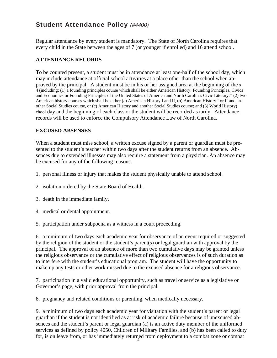### Student Attendance Policy *(#4400)*

Regular attendance by every student is mandatory. The State of North Carolina requires that every child in the State between the ages of 7 (or younger if enrolled) and 16 attend school.

### **ATTENDANCE RECORDS**

To be counted present, a student must be in attendance at least one-half of the school day, which may include attendance at official school activities at a place other than the school when approved by the principal. A student must be in his or her assigned area at the beginning of the s 4 (including: (1) a founding principles course which shall be either American History: Founding Principles, Civics and Economics or Founding Principles of the United States of America and North Carolina: Civic Literary;† (2) two American history courses which shall be either (a) American History I and II, (b) American History I or II and another Social Studies course, or (c) American History and another Social Studies course; and (3) World History) chool day and the beginning of each class or the student will be recorded as tardy. Attendance records will be used to enforce the Compulsory Attendance Law of North Carolina.

### **EXCUSED ABSENSES**

When a student must miss school, a written excuse signed by a parent or guardian must be presented to the student's teacher within two days after the student returns from an absence. Absences due to extended illnesses may also require a statement from a physician. An absence may be excused for any of the following reasons:

- 1. personal illness or injury that makes the student physically unable to attend school.
- 2. isolation ordered by the State Board of Health.
- 3. death in the immediate family.
- 4. medical or dental appointment.
- 5. participation under subpoena as a witness in a court proceeding.

6. a minimum of two days each academic year for observance of an event required or suggested by the religion of the student or the student's parent(s) or legal guardian with approval by the principal. The approval of an absence of more than two cumulative days may be granted unless the religious observance or the cumulative effect of religious observances is of such duration as to interfere with the student's educational program. The student will have the opportunity to make up any tests or other work missed due to the excused absence for a religious observance.

7. participation in a valid educational opportunity, such as travel or service as a legislative or Governor's page, with prior approval from the principal.

8. pregnancy and related conditions or parenting, when medically necessary.

for, is on leave from, or has immediately returned from deployment to a combat zone or combat 9. a minimum of two days each academic year for visitation with the student's parent or legal guardian if the student is not identified as at risk of academic failure because of unexcused absences and the student's parent or legal guardian (a) is an active duty member of the uniformed services as defined by policy 4050, Children of Military Families, and (b) has been called to duty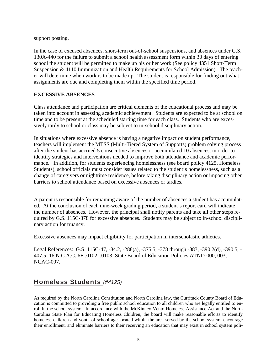support posting.

In the case of excused absences, short-term out-of-school suspensions, and absences under G.S. 130A-440 for the failure to submit a school health assessment form within 30 days of entering school the student will be permitted to make up his or her work (See policy 4351 Short-Term Suspension & 4110 Immunization and Health Requirements for School Admission). The teacher will determine when work is to be made up. The student is responsible for finding out what assignments are due and completing them within the specified time period.

### **EXCESSIVE ABSENCES**

Class attendance and participation are critical elements of the educational process and may be taken into account in assessing academic achievement. Students are expected to be at school on time and to be present at the scheduled starting time for each class. Students who are excessively tardy to school or class may be subject to in-school disciplinary action.

In situations where excessive absence is having a negative impact on student performance, teachers will implement the MTSS (Multi-Tiered System of Supports) problem solving process after the student has accrued 5 consecutive absences or accumulated 10 absences, in order to identify strategies and interventions needed to improve both attendance and academic performance. In addition, for students experiencing homelessness (see board policy 4125, Homeless Students), school officials must consider issues related to the student's homelessness, such as a change of caregivers or nighttime residence, before taking disciplinary action or imposing other barriers to school attendance based on excessive absences or tardies.

A parent is responsible for remaining aware of the number of absences a student has accumulated. At the conclusion of each nine-week grading period, a student's report card will indicate the number of absences. However, the principal shall notify parents and take all other steps required by G.S. 115C-378 for excessive absences. Students may be subject to in-school disciplinary action for truancy.

Excessive absences may impact eligibility for participation in interscholastic athletics.

Legal References: G.S. 115C-47, -84.2, -288(a), -375.5, -378 through -383, -390.2(d), -390.5, - 407.5; 16 N.C.A.C. 6E .0102, .0103; State Board of Education Policies ATND-000, 003, NCAC-007.

### Homeless Students *(#4125)*

As required by the North Carolina Constitution and North Carolina law, the Currituck County Board of Education is committed to providing a free public school education to all children who are legally entitled to enroll in the school system. In accordance with the McKinney-Vento Homeless Assistance Act and the North Carolina State Plan for Educating Homeless Children, the board will make reasonable efforts to identify homeless children and youth of school age located within the area served by the school system, encourage their enrollment, and eliminate barriers to their receiving an education that may exist in school system poli-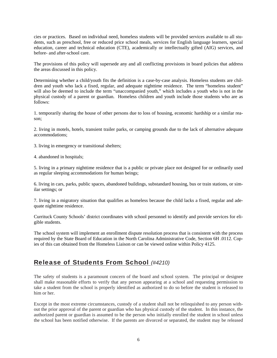cies or practices. Based on individual need, homeless students will be provided services available to all students, such as preschool, free or reduced price school meals, services for English language learners, special education, career and technical education (CTE), academically or intellectually gifted (AIG) services, and before- and after-school care.

The provisions of this policy will supersede any and all conflicting provisions in board policies that address the areas discussed in this policy.

Determining whether a child/youth fits the definition is a case-by-case analysis. Homeless students are children and youth who lack a fixed, regular, and adequate nighttime residence. The term "homeless student" will also be deemed to include the term "unaccompanied youth," which includes a youth who is not in the physical custody of a parent or guardian. Homeless children and youth include those students who are as follows:

1. temporarily sharing the house of other persons due to loss of housing, economic hardship or a similar reason;

2. living in motels, hotels, transient trailer parks, or camping grounds due to the lack of alternative adequate accommodations;

- 3. living in emergency or transitional shelters;
- 4. abandoned in hospitals;

5. living in a primary nighttime residence that is a public or private place not designed for or ordinarily used as regular sleeping accommodations for human beings;

6. living in cars, parks, public spaces, abandoned buildings, substandard housing, bus or train stations, or similar settings; or

7. living in a migratory situation that qualifies as homeless because the child lacks a fixed, regular and adequate nighttime residence.

Currituck County Schools' district coordinates with school personnel to identify and provide services for eligible students.

The school system will implement an enrollment dispute resolution process that is consistent with the process required by the State Board of Education in the North Carolina Administrative Code, Section 6H .0112. Copies of this can obtained from the Homeless Liaison or can be viewed online within Policy 4125.

### Release of Students From School *(#4210)*

The safety of students is a paramount concern of the board and school system. The principal or designee shall make reasonable efforts to verify that any person appearing at a school and requesting permission to take a student from the school is properly identified as authorized to do so before the student is released to him or her.

Except in the most extreme circumstances, custody of a student shall not be relinquished to any person without the prior approval of the parent or guardian who has physical custody of the student. In this instance, the authorized parent or guardian is assumed to be the person who initially enrolled the student in school unless the school has been notified otherwise. If the parents are divorced or separated, the student may be released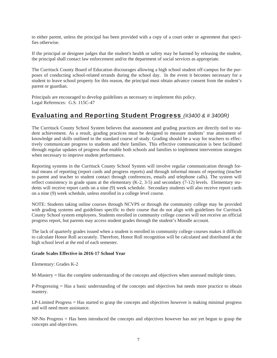to either parent, unless the principal has been provided with a copy of a court order or agreement that specifies otherwise.

If the principal or designee judges that the student's health or safety may be harmed by releasing the student, the principal shall contact law enforcement and/or the department of social services as appropriate.

The Currituck County Board of Education discourages allowing a high school student off-campus for the purposes of conducting school-related errands during the school day. In the event it becomes necessary for a student to leave school property for this reason, the principal must obtain advance consent from the student's parent or guardian.

Principals are encouraged to develop guidelines as necessary to implement this policy. Legal References: G.S. 115C-47

### Evaluating and Reporting Student Progress *(#3400 & # 3400R)*

The Currituck County School System believes that assessment and grading practices are directly tied to student achievement. As a result, grading practices must be designed to measure students' true attainment of knowledge and skills outlined in the standard course of study. Grading should be a way for teachers to effectively communicate progress to students and their families. This effective communication is best facilitated through regular updates of progress that enable both schools and families to implement intervention strategies when necessary to improve student performance.

Reporting systems in the Currituck County School System will involve regular communication through formal means of reporting (report cards and progress reports) and through informal means of reporting (teacher to parent and teacher to student contact through conferences, emails and telephone calls). The system will reflect consistency in grade spans at the elementary (K-2, 3-5) and secondary (7-12) levels. Elementary students will receive report cards on a nine (9) week schedule. Secondary students will also receive report cards on a nine (9) week schedule, unless enrolled in a college level course.

NOTE: Students taking online courses through NCVPS or through the community college may be provided with grading systems and guidelines specific to their course that do not align with guidelines for Currituck County School system employees. Students enrolled in community college courses will not receive an official progress report, but parents may access student grades through the student's Moodle account.

The lack of quarterly grades issued when a student is enrolled in community college courses makes it difficult to calculate Honor Roll accurately. Therefore, Honor Roll recognition will be calculated and distributed at the high school level at the end of each semester.

#### **Grade Scales Effective in 2016-17 School Year**

Elementary: Grades K-2

M-Mastery = Has the complete understanding of the concepts and objectives when assessed multiple times.

P-Progressing = Has a basic understanding of the concepts and objectives but needs more practice to obtain mastery.

LP-Limited Progress = Has started to grasp the concepts and objectives however is making minimal progress and will need more assistance.

NP-No Progress = Has been introduced the concepts and objectives however has not yet begun to grasp the concepts and objectives.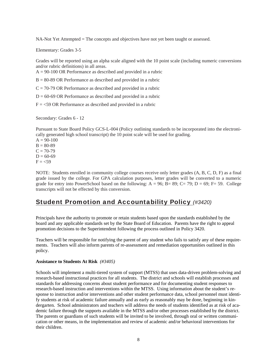NA-Not Yet Attempted = The concepts and objectives have not yet been taught or assessed.

Elementary: Grades 3-5

Grades will be reported using an alpha scale aligned with the 10 point scale (including numeric conversions and/or rubric definitions) in all areas.

A = 90-100 OR Performance as described and provided in a rubric

 $B = 80-89$  OR Performance as described and provided in a rubric

 $C = 70-79$  OR Performance as described and provided in a rubric

 $D = 60-69$  OR Performance as described and provided in a rubric

 $F = 59$  OR Performance as described and provided in a rubric

Secondary: Grades 6 - 12

Pursuant to State Board Policy GCS-L-004 (Policy outlining standards to be incorporated into the electronically generated high school transcript) the 10 point scale will be used for grading.

 $A = 90-100$  $B = 80-89$  $C = 70-79$  $D = 60-69$  $F = <59$ 

NOTE: Students enrolled in community college courses receive only letter grades (A, B, C, D, F) as a final grade issued by the college. For GPA calculation purposes, letter grades will be converted to a numeric grade for entry into PowerSchool based on the following:  $A = 96$ ;  $B = 89$ ;  $C = 79$ ;  $D = 69$ ;  $F = 59$ . College transcripts will not be effected by this conversion.

### Student Promotion and Accountability Policy *(#3420)*

Principals have the authority to promote or retain students based upon the standards established by the board and any applicable standards set by the State Board of Education. Parents have the right to appeal promotion decisions to the Superintendent following the process outlined in Policy 3420.

Teachers will be responsible for notifying the parent of any student who fails to satisfy any of these requirements. Teachers will also inform parents of re-assessment and remediation opportunities outlined in this policy.

#### **Assistance to Students At Risk** *(#3405)*

Schools will implement a multi-tiered system of support (MTSS) that uses data-driven problem-solving and research-based instructional practices for all students. The district and schools will establish processes and standards for addressing concerns about student performance and for documenting student responses to research-based instruction and interventions within the MTSS. Using information about the student's response to instruction and/or interventions and other student performance data, school personnel must identify students at risk of academic failure annually and as early as reasonably may be done, beginning in kindergarten. School administrators and teachers will address the needs of students identified as at risk of academic failure through the supports available in the MTSS and/or other processes established by the district. The parents or guardians of such students will be invited to be involved, through oral or written communication or other means, in the implementation and review of academic and/or behavioral interventions for their children.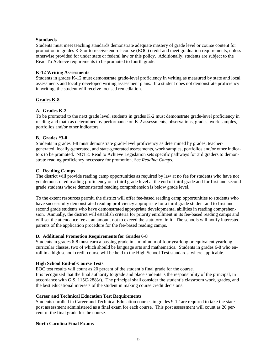#### **Standards**

Students must meet teaching standards demonstrate adequate mastery of grade level or course content for promotion in grades K-8 or to receive end-of-course (EOC) credit and meet graduation requirements, unless otherwise provided for under state or federal law or this policy. Additionally, students are subject to the Read To Achieve requirements to be promoted to fourth grade.

#### **K-12 Writing Assessments**

Students in grades K-12 must demonstrate grade-level proficiency in writing as measured by state and local assessments and locally developed writing assessment plans. If a student does not demonstrate proficiency in writing, the student will receive focused remediation.

#### **Grades K-8**

#### **A. Grades K-2**

To be promoted to the next grade level, students in grades K-2 must demonstrate grade-level proficiency in reading and math as determined by performance on K-2 assessments, observations, grades, work samples, portfolios and/or other indicators.

#### **B. Grades \*3-8**

Students in grades 3-8 must demonstrate grade-level proficiency as determined by grades, teachergenerated, locally-generated, and state-generated assessments, work samples, portfolios and/or other indicators to be promoted. NOTE: Read to Achieve Legislation sets specific pathways for 3rd graders to demonstrate reading proficiency necessary for promotion. *See Reading Camps.* 

#### **C. Reading Camps**

The district will provide reading camp opportunities as required by law at no fee for students who have not yet demonstrated reading proficiency on a third grade level at the end of third grade and for first and second grade students whose demonstrated reading comprehension is below grade level.

To the extent resources permit, the district will offer fee-based reading camp opportunities to students who have successfully demonstrated reading proficiency appropriate for a third grade student and to first and second grade students who have demonstrated appropriate developmental abilities in reading comprehension. Annually, the district will establish criteria for priority enrollment in its fee-based reading camps and will set the attendance fee at an amount not to exceed the statutory limit. The schools will notify interested parents of the application procedure for the fee-based reading camps.

#### **D. Additional Promotion Requirements for Grades 6-8**

Students in grades 6-8 must earn a passing grade in a minimum of four yearlong or equivalent yearlong curricular classes, two of which should be language arts and mathematics. Students in grades 6-8 who enroll in a high school credit course will be held to the High School Test standards, where applicable.

#### **High School End-of-Course Tests**

EOC test results will count as 20 percent of the student's final grade for the course.

It is recognized that the final authority to grade and place students is the responsibility of the principal, in accordance with G.S. 115C-288(a). The principal shall consider the student's classroom work, grades, and the best educational interests of the student in making course credit decisions.

#### **Career and Technical Education Test Requirements**

Students enrolled in Career and Technical Education courses in grades 9-12 are required to take the state post assessment administered as a final exam for each course. This post assessment will count as 20 percent of the final grade for the course.

#### **North Carolina Final Exams**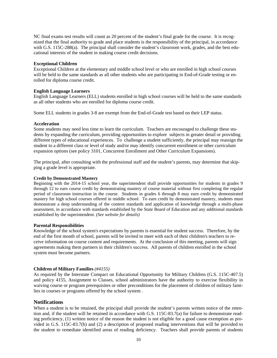NC final exams test results will count as 20 percent of the student's final grade for the course. It is recognized that the final authority to grade and place students is the responsibility of the principal, in accordance with G.S. 115C-288(a). The principal shall consider the student's classroom work, grades, and the best educational interests of the student in making course credit decisions.

#### **Exceptional Children**

Exceptional Children at the elementary and middle school level or who are enrolled in high school courses will be held to the same standards as all other students who are participating in End-of-Grade testing or enrolled for diploma course credit.

#### **English Language Learners**

English Language Learners (ELL) students enrolled in high school courses will be held to the same standards as all other students who are enrolled for diploma course credit.

Some ELL students in grades 3-8 are exempt from the End-of-Grade test based on their LEP status.

#### **Acceleration**

Some students may need less time to learn the curriculum. Teachers are encouraged to challenge these students by expanding the curriculum, providing opportunities to explore subjects in greater detail or providing different types of educational experiences. To challenge a student sufficiently, the principal may reassign the student to a different class or level of study and/or may identify concurrent enrollment or other curriculum expansion options (see policy 3101, Concurrent Enrollment and Other Curriculum Expansions).

The principal, after consulting with the professional staff and the student's parents, may determine that skipping a grade level is appropriate.

#### **Credit by Demonstrated Mastery**

Beginning with the 2014-15 school year, the superintendent shall provide opportunities for students in grades 9 through 12 to earn course credit by demonstrating mastery of course material without first completing the regular period of classroom instruction in the course. Students in grades 6 through 8 may earn credit by demonstrated mastery for high school courses offered in middle school. To earn credit by demonstrated mastery, students must demonstrate a deep understanding of the content standards and application of knowledge through a multi-phase assessment, in accordance with standards established by the State Board of Education and any additional standards established by the superintendent. *(See website for details)*

#### **Parental Responsibilities**

Knowledge of the school system's expectations by parents is essential for student success. Therefore, by the end of the first month of school, parents will be invited to meet with each of their children's teachers to receive information on course content and requirements. At the conclusion of this meeting, parents will sign agreements making them partners in their children's success. All parents of children enrolled in the school system must become partners.

#### **Children of Military Families** *(#4155)*

As required by the Interstate Compact on Educational Opportunity for Military Children (G.S. 115C-407.5) and policy 4155, Assignment to Classes, school administrators have the authority to exercise flexibility in waiving course or program prerequisites or other preconditions for the placement of children of military families in courses or programs offered by the school system .

#### **Notifications**

When a student is to be retained, the principal shall provide the student's parents written notice of the retention and, if the student will be retained in accordance with G.S. 115C-83.7(a) for failure to demonstrate reading proficiency, (1) written notice of the reason the student is not eligible for a good cause exemption as provided in G.S. 115C-83.7(b) and (2) a description of proposed reading interventions that will be provided to the student to remediate identified areas of reading deficiency. Teachers shall provide parents of students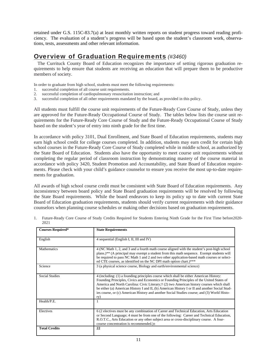retained under G.S. 115C-83.7(a) at least monthly written reports on student progress toward reading proficiency. The evaluation of a student's progress will be based upon the student's classroom work, observations, tests, assessments and other relevant information.

### Overview of Graduation Requirements *(#3460)*

 The Currituck County Board of Education recognizes the importance of setting rigorous graduation requirements to help ensure that students are receiving an education that will prepare them to be productive members of society.

In order to graduate from high school, students must meet the following requirements:

- 1. successful completion of all course unit requirements.
- 2. successful completion of cardiopulmonary resuscitation instruction; and
- 3. successful completion of all other requirements mandated by the board, as provided in this policy.

All students must fulfill the course unit requirements of the Future-Ready Core Course of Study, unless they are approved for the Future-Ready Occupational Course of Study. The tables below lists the course unit requirements for the Future-Ready Core Course of Study and the Future-Ready Occupational Course of Study based on the student's year of entry into ninth grade for the first time.

In accordance with policy 3101, Dual Enrollment, and State Board of Education requirements, students may earn high school credit for college courses completed. In addition, students may earn credit for certain high school courses in the Future-Ready Core Course of Study completed while in middle school, as authorized by the State Board of Education. Students also have the opportunity to meet course unit requirements without completing the regular period of classroom instruction by demonstrating mastery of the course material in accordance with policy 3420, Student Promotion and Accountability, and State Board of Education requirements. Please check with your child's guidance counselor to ensure you receive the most up-to-date requirements for graduation.

All awards of high school course credit must be consistent with State Board of Education requirements. Any inconsistency between board policy and State Board graduation requirements will be resolved by following the State Board requirements. While the board endeavors to keep its policy up to date with current State Board of Education graduation requirements, students should verify current requirements with their guidance counselors when planning course schedules or making other decisions based on graduation requirements.

| <b>Courses Required*</b> | <b>State Requirements</b>                                                                                                                                                                                                                                                                                                                                                                                                                                                               |  |
|--------------------------|-----------------------------------------------------------------------------------------------------------------------------------------------------------------------------------------------------------------------------------------------------------------------------------------------------------------------------------------------------------------------------------------------------------------------------------------------------------------------------------------|--|
| English                  | 4 sequential (English I, II, III and IV)                                                                                                                                                                                                                                                                                                                                                                                                                                                |  |
| Mathematics              | 4 (NC Math 1, 2, and 3 and a fourth math course aligned with the student's post-high school<br>plans.)** (A principal may exempt a student from this math sequence. Exempt students will<br>be required to pass NC Math 1 and 2 and two other application-based math courses or select-<br>ed CTE courses, as identified on the NC DPI math option chart.)***                                                                                                                           |  |
| Science                  | 3 (a physical science course, Biology and earth/environmental science)                                                                                                                                                                                                                                                                                                                                                                                                                  |  |
| <b>Social Studies</b>    | 4 (including: (1) a founding principles course which shall be either American History:<br>Founding Principles, Civics and Economics or Founding Principles of the United States of<br>America and North Carolina: Civic Literary;† (2) two American history courses which shall<br>be either (a) American History I and II, (b) American History I or II and another Social Stud-<br>ies course, or (c) American History and another Social Studies course; and (3) World Histo-<br>ry) |  |
| Health/P.E.              | 1                                                                                                                                                                                                                                                                                                                                                                                                                                                                                       |  |
| Electives                | 6 (2 electives must be any combination of Career and Technical Education, Arts Education<br>or Second Language; 4 must be from one of the following: Career and Technical Education,<br>R.O.T.C., Arts Education or any other subject area or cross-disciplinary course. A four-<br>course concentration is recommended.)±                                                                                                                                                              |  |
| <b>Total Credits</b>     | 22                                                                                                                                                                                                                                                                                                                                                                                                                                                                                      |  |

1. Future-Ready Core Course of Study Credits Required for Students Entering Ninth Grade for the First Time before2020- 2021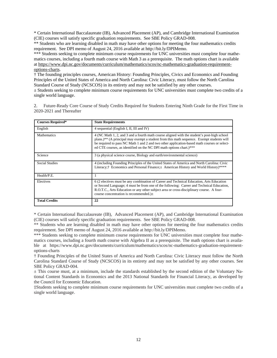\* Certain International Baccalaureate (IB), Advanced Placement (AP), and Cambridge International Examination (CIE) courses will satisfy specific graduation requirements. See SBE Policy GRAD-008.

\*\* Students who are learning disabled in math may have other options for meeting the four mathematics credits requirement. See DPI memo of August 24, 2016 available at http://bit.ly/DPIMemo.

\*\*\* Students seeking to complete minimum course requirements for UNC universities must complete four mathematics courses, including a fourth math course with Math 3 as a prerequisite. The math options chart is available at https://www.dpi.nc.gov/documents/curriculum/mathematics/scos/nc-mathematics-graduation-requirementoptions-charts.

† The founding principles courses, American History: Founding Principles, Civics and Economics and Founding Principles of the United States of America and North Carolina: Civic Literacy, must follow the North Carolina Standard Course of Study (NCSCOS) in its entirety and may not be satisfied by any other courses.

 $\pm$  Students seeking to complete minimum course requirements for UNC universities must complete two credits of a single world language.

2. Future-Ready Core Course of Study Credits Required for Students Entering Ninth Grade for the First Time in 2020-2021 and Thereafter

| <b>Courses Required*</b> | <b>State Requirements</b>                                                                                                                                                                                                                                                                                                                                      |  |
|--------------------------|----------------------------------------------------------------------------------------------------------------------------------------------------------------------------------------------------------------------------------------------------------------------------------------------------------------------------------------------------------------|--|
| English                  | 4 sequential (English I, II, III and IV)                                                                                                                                                                                                                                                                                                                       |  |
| <b>Mathematics</b>       | 4 (NC Math 1, 2, and 3 and a fourth math course aligned with the student's post-high school<br>plans.)** (A principal may exempt a student from this math sequence. Exempt students will<br>be required to pass NC Math 1 and 2 and two other application-based math courses or select-<br>ed CTE courses, as identified on the NC DPI math options chart.)*** |  |
| Science                  | 3 (a physical science course, Biology and earth/environmental science)                                                                                                                                                                                                                                                                                         |  |
| <b>Social Studies</b>    | 4 (including Founding Principles of the United States of America and North Carolina: Civic<br>Literacy; <sup>†</sup> Economics and Personal Finance; $\pm$ American History and World History)****                                                                                                                                                             |  |
| Health/P.E.              |                                                                                                                                                                                                                                                                                                                                                                |  |
| Electives                | 6 (2 electives must be any combination of Career and Technical Education, Arts Education<br>or Second Language; 4 must be from one of the following: Career and Technical Education,<br>R.O.T.C., Arts Education or any other subject area or cross-disciplinary course. A four-<br>course concentration is recommended.) $\pm$                                |  |
| <b>Total Credits</b>     | 22                                                                                                                                                                                                                                                                                                                                                             |  |

\* Certain International Baccalaureate (IB), Advanced Placement (AP), and Cambridge International Examination (CIE) courses will satisfy specific graduation requirements. See SBE Policy GRAD-008.

\*\* Students who are learning disabled in math may have other options for meeting the four mathematics credits requirement. See DPI memo of August 24, 2016 available at http://bit.ly/DPIMemo.

\*\*\* Students seeking to complete minimum course requirements for UNC universities must complete four mathematics courses, including a fourth math course with Algebra II as a prerequisite. The math options chart is available at https://www.dpi.nc.gov/documents/curriculum/mathematics/scos/nc-mathematics-graduation-requirementoptions-charts

† Founding Principles of the United States of America and North Carolina: Civic Literacy must follow the North Carolina Standard Course of Study (NCSCOS) in its entirety and may not be satisfied by any other courses. See SBE Policy GRAD-004.

 $\pm$  This course must, at a minimum, include the standards established by the second edition of the Voluntary National Content Standards in Economics and the 2013 National Standards for Financial Literacy, as developed by the Council for Economic Education.

‡Students seeking to complete minimum course requirements for UNC universities must complete two credits of a single world language.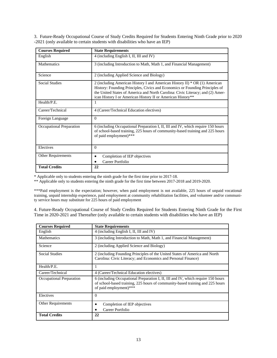3. Future-Ready Occupational Course of Study Credits Required for Students Entering Ninth Grade prior to 2020 -2021 (only available to certain students with disabilities who have an IEP)

| <b>Courses Required</b>   | <b>State Requirements</b>                                                                                                                                                                                                                                                                                     |  |
|---------------------------|---------------------------------------------------------------------------------------------------------------------------------------------------------------------------------------------------------------------------------------------------------------------------------------------------------------|--|
| English                   | 4 (including English I, II, III and IV)                                                                                                                                                                                                                                                                       |  |
| <b>Mathematics</b>        | 3 (including Introduction to Math, Math 1, and Financial Management)                                                                                                                                                                                                                                          |  |
| Science                   | 2 (including Applied Science and Biology)                                                                                                                                                                                                                                                                     |  |
| <b>Social Studies</b>     | 2 (including American History I and American History II) $*$ OR (1) American<br>History: Founding Principles, Civics and Economics or Founding Principles of<br>the United States of America and North Carolina: Civic Literacy; and (2) Amer-<br>ican History I or American History II or American History** |  |
| Health/P.E.               | л.                                                                                                                                                                                                                                                                                                            |  |
| Career/Technical          | 4 (Career/Technical Education electives)                                                                                                                                                                                                                                                                      |  |
| Foreign Language          | $\Omega$                                                                                                                                                                                                                                                                                                      |  |
| Occupational Preparation  | 6 (including Occupational Preparation I, II, III and IV, which require 150 hours<br>of school-based training, 225 hours of community-based training and 225 hours<br>of paid employment)***                                                                                                                   |  |
| Electives                 | $\theta$                                                                                                                                                                                                                                                                                                      |  |
| <b>Other Requirements</b> | Completion of IEP objectives<br>Career Portfolio                                                                                                                                                                                                                                                              |  |
| <b>Total Credits</b>      | 22                                                                                                                                                                                                                                                                                                            |  |

\* Applicable only to students entering the ninth grade for the first time prior to 2017-18.

\*\* Applicable only to students entering the ninth grade for the first time between 2017-2018 and 2019-2020.

\*\*\*Paid employment is the expectation; however, when paid employment is not available, 225 hours of unpaid vocational training, unpaid internship experience, paid employment at community rehabilitation facilities, and volunteer and/or community service hours may substitute for 225 hours of paid employment

4. Future-Ready Occupational Course of Study Credits Required for Students Entering Ninth Grade for the First Time in 2020-2021 and Thereafter (only available to certain students with disabilities who have an IEP)

| <b>Courses Required</b>   | <b>State Requirements</b>                                                                                                                                                                   |  |
|---------------------------|---------------------------------------------------------------------------------------------------------------------------------------------------------------------------------------------|--|
| English                   | 4 (including English I, II, III and IV)                                                                                                                                                     |  |
| <b>Mathematics</b>        | 3 (including Introduction to Math, Math 1, and Financial Management)                                                                                                                        |  |
| Science                   | 2 (including Applied Science and Biology)                                                                                                                                                   |  |
| <b>Social Studies</b>     | 2 (including Founding Principles of the United States of America and North<br>Carolina: Civic Literacy; and Economics and Personal Finance)                                                 |  |
| Health/P.E.               | 1                                                                                                                                                                                           |  |
| Career/Technical          | 4 (Career/Technical Education electives)                                                                                                                                                    |  |
| Occupational Preparation  | 6 (including Occupational Preparation I, II, III and IV, which require 150 hours<br>of school-based training, 225 hours of community-based training and 225 hours<br>of paid employment)*** |  |
| Electives                 | $\Omega$                                                                                                                                                                                    |  |
| <b>Other Requirements</b> | Completion of IEP objectives                                                                                                                                                                |  |
|                           | Career Portfolio                                                                                                                                                                            |  |
| <b>Total Credits</b>      | 22                                                                                                                                                                                          |  |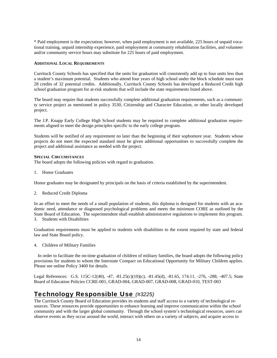\* Paid employment is the expectation; however, when paid employment is not available, 225 hours of unpaid vocational training, unpaid internship experience, paid employment at community rehabilitation facilities, and volunteer and/or community service hours may substitute for 225 hours of paid employment.

#### **ADDITIONAL LOCAL REQUIREMENTS**

Currituck County Schools has specified that the units for graduation will consistently add up to four units less than a student's maximum potential. Students who attend four years of high school under the block schedule must earn 28 credits of 32 potential credits. Additionally, Currituck County Schools has developed a Reduced Credit high school graduation program for at-risk students that will include the state requirements listed above.

The board may require that students successfully complete additional graduation requirements, such as a community service project as mentioned in policy 3530, Citizenship and Character Education, or other locally developed project.

The J.P. Knapp Early College High School students may be required to complete additional graduation requirements aligned to meet the design principles specific to the early college program.

Students will be notified of any requirement no later than the beginning of their sophomore year. Students whose projects do not meet the expected standard must be given additional opportunities to successfully complete the project and additional assistance as needed with the project.

#### **SPECIAL CIRCUMSTANCES**

The board adopts the following policies with regard to graduation.

1. Honor Graduates

Honor graduates may be designated by principals on the basis of criteria established by the superintendent.

2. Reduced Credit Diploma

In an effort to meet the needs of a small population of students, this diploma is designed for students with an academic need, attendance or diagnosed psychological problems and meets the minimum CORE as outlined by the State Board of Education. The superintendent shall establish administrative regulations to implement this program. 3. Students with Disabilities

Graduation requirements must be applied to students with disabilities to the extent required by state and federal law and State Board policy.

4. Children of Military Families

 In order to facilitate the on-time graduation of children of military families, the board adopts the following policy provisions for students to whom the Interstate Compact on Educational Opportunity for Military Children applies. Please see online Policy 3460 for details.

Legal References: G.S. 115C-12(40), -47, -81.25(c)(10)(c), -81.45(d), -81.65, 174.11, -276, -288, -407.5; State Board of Education Policies CCRE-001, GRAD-004, GRAD-007, GRAD-008, GRAD-010, TEST-003

### Technology Responsible Use *(#3225)*

The Currituck County Board of Education provides its students and staff access to a variety of technological resources. These resources provide opportunities to enhance learning and improve communication within the school community and with the larger global community. Through the school system's technological resources, users can observe events as they occur around the world, interact with others on a variety of subjects, and acquire access to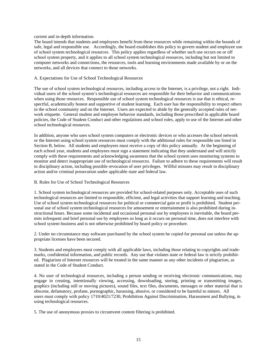#### current and in-depth information.

The board intends that students and employees benefit from these resources while remaining within the bounds of safe, legal and responsible use. Accordingly, the board establishes this policy to govern student and employee use of school system technological resources. This policy applies regardless of whether such use occurs on or off school system property, and it applies to all school system technological resources, including but not limited to computer networks and connections, the resources, tools and learning environments made available by or on the networks, and all devices that connect to those networks.

#### A. Expectations for Use of School Technological Resources

The use of school system technological resources, including access to the Internet, is a privilege, not a right. Individual users of the school system's technological resources are responsible for their behavior and communications when using those resources. Responsible use of school system technological resources is use that is ethical, respectful, academically honest and supportive of student learning. Each user has the responsibility to respect others in the school community and on the Internet. Users are expected to abide by the generally accepted rules of network etiquette. General student and employee behavior standards, including those prescribed in applicable board policies, the Code of Student Conduct and other regulations and school rules, apply to use of the Internet and other school technological resources.

In addition, anyone who uses school system computers or electronic devices or who accesses the school network or the Internet using school system resources must comply with the additional rules for responsible use listed in Section B, below. All students and employees must receive a copy of this policy annually. At the beginning of each school year, students and employees must sign a statement indicating that they understand and will strictly comply with these requirements and acknowledging awareness that the school system uses monitoring systems to monitor and detect inappropriate use of technological resources. Failure to adhere to these requirements will result in disciplinary action, including possible revocation of user privileges. Willful misuses may result in disciplinary action and/or criminal prosecution under applicable state and federal law.

#### B. Rules for Use of School Technological Resources

1. School system technological resources are provided for school-related purposes only. Acceptable uses of such technological resources are limited to responsible, efficient, and legal activities that support learning and teaching. Use of school system technological resources for political or commercial gain or profit is prohibited. Student personal use of school system technological resources for amusement or entertainment is also prohibited during instructional hours. Because some incidental and occasional personal use by employees is inevitable, the board permits infrequent and brief personal use by employees so long as it occurs on personal time, does not interfere with school system business and is not otherwise prohibited by board policy or procedure.

2. Under no circumstance may software purchased by the school system be copied for personal use unless the appropriate licenses have been secured.

3. Students and employees must comply with all applicable laws, including those relating to copyrights and trademarks, confidential information, and public records. Any use that violates state or federal law is strictly prohibited. Plagiarism of Internet resources will be treated in the same manner as any other incidents of plagiarism, as stated in the Code of Student Conduct.

4. No user of technological resources, including a person sending or receiving electronic communications, may engage in creating, intentionally viewing, accessing, downloading, storing, printing or transmitting images, graphics (including still or moving pictures), sound files, text files, documents, messages or other material that is obscene, defamatory, profane, pornographic, harassing, abusive, or considered to be harmful to minors. All users must comply with policy 1710/4021/7230, Prohibition Against Discrimination, Harassment and Bullying, in using technological resources.

5. The use of anonymous proxies to circumvent content filtering is prohibited.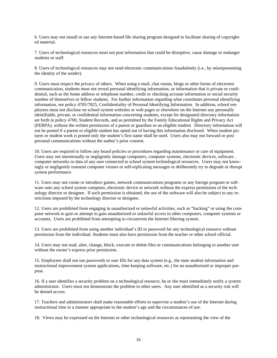6. Users may not install or use any Internet-based file sharing program designed to facilitate sharing of copyrighted material.

7. Users of technological resources must not post information that could be disruptive, cause damage or endanger students or staff.

8. Users of technological resources may not send electronic communications fraudulently (i.e., by misrepresenting the identity of the sender).

9. Users must respect the privacy of others. When using e-mail, chat rooms, blogs or other forms of electronic communication, students must not reveal personal identifying information, or information that is private or confidential, such as the home address or telephone number, credit or checking account information or social security number of themselves or fellow students. For further information regarding what constitutes personal identifying information, see policy 4705/7825, Confidentiality of Personal Identifying Information. In addition, school employees must not disclose on school system websites or web pages or elsewhere on the Internet any personally identifiable, private, or confidential information concerning students, except for designated directory information set forth in policy 4700, Student Records, and as permitted by the Family Educational Rights and Privacy Act (FERPA), without the written permission of a parent or guardian or an eligible student. Directory information will not be posted if a parent or eligible student has opted out of having this information disclosed. When student pictures or student work is posted only the student's first name shall be used. Users also may not forward or post personal communications without the author's prior consent.

10. Users are required to follow any board policies or procedures regarding maintenance or care of equipment. Users may not intentionally or negligently damage computers, computer systems, electronic devices, software , computer networks or data of any user connected to school system technological resources. Users may not knowingly or negligently transmit computer viruses or self-replicating messages or deliberately try to degrade or disrupt system performance.

11. Users may not create or introduce games, network communications programs or any foreign program or software onto any school system computer, electronic device or network without the express permission of the technology director or designee. If such permission is obtained, the use of the software will also be subject to any restrictions imposed by the technology director or designee.

12. Users are prohibited from engaging in unauthorized or unlawful activities, such as "hacking" or using the computer network to gain or attempt to gain unauthorized or unlawful access to other computers, computer systems or accounts. Users are prohibited from attempting to circumvent the Internet filtering system.

13. Users are prohibited from using another individual's ID or password for any technological resource without permission from the individual. Students must also have permission from the teacher or other school official.

14. Users may not read, alter, change, block, execute or delete files or communications belonging to another user without the owner's express prior permission.

15. Employees shall not use passwords or user IDs for any data system (e.g., the state student information and instructional improvement system applications, time-keeping software, etc.) for an unauthorized or improper purpose.

16. If a user identifies a security problem on a technological resource, he or she must immediately notify a system administrator. Users must not demonstrate the problem to other users. Any user identified as a security risk will be denied access.

17. Teachers and administrators shall make reasonable efforts to supervise a student's use of the Internet during instructional time in a manner appropriate to the student's age and the circumstances of use.

18. Views may be expressed on the Internet or other technological resources as representing the view of the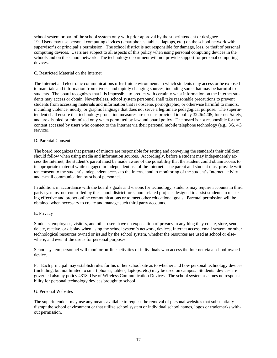school system or part of the school system only with prior approval by the superintendent or designee. 19. Users may use personal computing devices (smartphones, tablets, laptops, etc.) on the school network with supervisor's or principal's permission. The school district is not responsible for damage, loss, or theft of personal computing devices. Users are subject to all aspects of this policy when using personal computing devices in the schools and on the school network. The technology department will not provide support for personal computing devices.

#### C. Restricted Material on the Internet

The Internet and electronic communications offer fluid environments in which students may access or be exposed to materials and information from diverse and rapidly changing sources, including some that may be harmful to students. The board recognizes that it is impossible to predict with certainty what information on the Internet students may access or obtain. Nevertheless, school system personnel shall take reasonable precautions to prevent students from accessing materials and information that is obscene, pornographic, or otherwise harmful to minors, including violence, nudity, or graphic language that does not serve a legitimate pedagogical purpose. The superintendent shall ensure that technology protection measures are used as provided in policy 3226/4205, Internet Safety, and are disabled or minimized only when permitted by law and board policy. The board is not responsible for the content accessed by users who connect to the Internet via their personal mobile telephone technology (e.g., 3G, 4G service).

#### D. Parental Consent

The board recognizes that parents of minors are responsible for setting and conveying the standards their children should follow when using media and information sources. Accordingly, before a student may independently access the Internet, the student's parent must be made aware of the possibility that the student could obtain access to inappropriate material while engaged in independent use of the Internet. The parent and student must provide written consent to the student's independent access to the Internet and to monitoring of the student's Internet activity and e-mail communication by school personnel.

In addition, in accordance with the board's goals and visions for technology, students may require accounts in third party systems not controlled by the school district for school related projects designed to assist students in mastering effective and proper online communications or to meet other educational goals. Parental permission will be obtained when necessary to create and manage such third party accounts.

#### E. Privacy

Students, employees, visitors, and other users have no expectation of privacy in anything they create, store, send, delete, receive, or display when using the school system's network, devices, Internet access, email system, or other technological resources owned or issued by the school system, whether the resources are used at school or elsewhere, and even if the use is for personal purposes.

School system personnel will monitor on-line activities of individuals who access the Internet via a school-owned device.

F. Each principal may establish rules for his or her school site as to whether and how personal technology devices (including, but not limited to smart phones, tablets, laptops, etc.) may be used on campus. Students' devices are governed also by policy 4318, Use of Wireless Communication Devices. The school system assumes no responsibility for personal technology devices brought to school.

#### G. Personal Websites

The superintendent may use any means available to request the removal of personal websites that substantially disrupt the school environment or that utilize school system or individual school names, logos or trademarks without permission.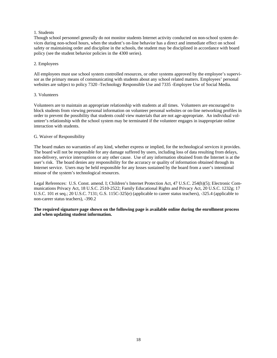#### 1. Students

Though school personnel generally do not monitor students Internet activity conducted on non-school system devices during non-school hours, when the student's on-line behavior has a direct and immediate effect on school safety or maintaining order and discipline in the schools, the student may be disciplined in accordance with board policy (see the student behavior policies in the 4300 series).

#### 2. Employees

All employees must use school system controlled resources, or other systems approved by the employee's supervisor as the primary means of communicating with students about any school related matters. Employees' personal websites are subject to policy 7320 -Technology Responsible Use and 7335 -Employee Use of Social Media.

#### 3. Volunteers

Volunteers are to maintain an appropriate relationship with students at all times. Volunteers are encouraged to block students from viewing personal information on volunteer personal websites or on-line networking profiles in order to prevent the possibility that students could view materials that are not age-appropriate. An individual volunteer's relationship with the school system may be terminated if the volunteer engages in inappropriate online interaction with students.

#### G. Waiver of Responsibility

The board makes no warranties of any kind, whether express or implied, for the technological services it provides. The board will not be responsible for any damage suffered by users, including loss of data resulting from delays, non-delivery, service interruptions or any other cause. Use of any information obtained from the Internet is at the user's risk. The board denies any responsibility for the accuracy or quality of information obtained through its Internet service. Users may be held responsible for any losses sustained by the board from a user's intentional misuse of the system's technological resources.

Legal References: U.S. Const. amend. I; Children's Internet Protection Act, 47 U.S.C. 254(h)(5); Electronic Communications Privacy Act, 18 U.S.C. 2510-2522; Family Educational Rights and Privacy Act, 20 U.S.C. 1232g; 17 U.S.C. 101 et seq.; 20 U.S.C. 7131; G.S. 115C-325(e) (applicable to career status teachers), -325.4 (applicable to non-career status teachers), -390.2

#### **The required signature page shown on the following page is available online during the enrollment process and when updating student information.**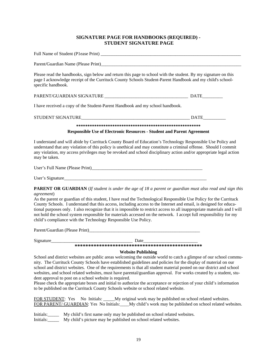#### **SIGNATURE PAGE FOR HANDBOOKS (REQUIRED) - STUDENT SIGNATURE PAGE**

| Parent/Guardian Name (Please Print)                                                                                                                                                                                                               |             |  |
|---------------------------------------------------------------------------------------------------------------------------------------------------------------------------------------------------------------------------------------------------|-------------|--|
| Please read the handbooks, sign below and return this page to school with the student. By my signature on this<br>page I acknowledge receipt of the Currituck County Schools Student-Parent Handbook and my child's school-<br>specific handbook. |             |  |
|                                                                                                                                                                                                                                                   |             |  |
| I have received a copy of the Student-Parent Handbook and my school handbook.                                                                                                                                                                     |             |  |
|                                                                                                                                                                                                                                                   | <b>DATE</b> |  |
|                                                                                                                                                                                                                                                   |             |  |
| <b>Responsible Use of Electronic Resources - Student and Parent Agreement</b>                                                                                                                                                                     |             |  |
| I understand and will abide by Currituck County Board of Education's Technology Responsible Use Policy and<br>understand that any violation of this policy is unethical and may constitute a criminal offense. Should I commit                    |             |  |

understand that any violation of this policy is unethical and may constitute a criminal offense. Should I commit any violation, my access privileges may be revoked and school disciplinary action and/or appropriate legal action may be taken.

| User's Full Name (Please Print) |  |
|---------------------------------|--|
|                                 |  |
| User's Signature                |  |

**PARENT OR GUARDIAN** (*If student is under the age of 18 a parent or guardian must also read and sign this agreement*)

As the parent or guardian of this student, I have read the Technological Responsible Use Policy for the Currituck County Schools. I understand that this access, including access to the Internet and email, is designed for educational purposes only. I also recognize that it is impossible to restrict access to all inappropriate materials and I will not hold the school system responsible for materials accessed on the network. I accept full responsibility for my child's compliance with the Technology Responsible Use Policy.

Parent/Guardian (Please Print)

| Signature |
|-----------|
|-----------|

Signature\_\_\_\_\_\_\_\_\_\_\_\_\_\_\_\_\_\_\_\_\_\_\_\_\_\_\_\_\_\_\_\_\_\_\_\_ Date\_\_\_\_\_\_\_\_\_\_\_\_\_\_\_\_\_\_\_\_\_\_\_\_

**\*\*\*\*\*\*\*\*\*\*\*\*\*\*\*\*\*\*\*\*\*\*\*\*\*\*\*\*\*\*\*\*\*\*\*\*\*\*\*\*\*\*\*\*\*\*\*** 

#### **Website Publishing**

School and district websites are public areas welcoming the outside world to catch a glimpse of our school community. The Currituck County Schools have established guidelines and policies for the display of material on our school and district websites. One of the requirements is that all student material posted on our district and school websites, and school related websites, must have parental/guardian approval. For works created by a student, student approval to post on a school website is required.

Please check the appropriate boxes and initial to authorize the acceptance or rejection of your child's information to be published on the Currituck County Schools website or school related website.

FOR STUDENT: Yes No Initials: My original work may be published on school related websites. FOR PARENT/ GUARDIAN: Yes No Initials: My child's work may be published on school related websites.

Initials:\_\_\_\_\_ My child's first name only may be published on school related websites.

Initials: My child's picture may be published on school related websites.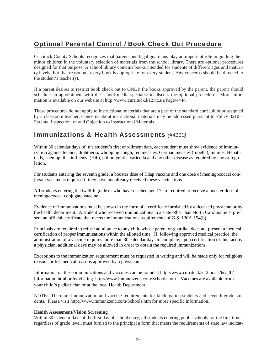## Optional Parental Control / Book Check Out Procedure

Currituck County Schools recognizes that parents and legal guardians play an important role in guiding their minor children in the voluntary selection of materials from the school library. There are optional procedures designed for that purpose. A school library contains books intended for students of different ages and maturity levels. For that reason not every book is appropriate for every student. Any concerns should be directed to the student's teacher(s).

If a parent desires to restrict book check out to ONLY the books approved by the parent, the parent should schedule an appointment with the school media specialist to discuss the optional procedure. More information is available on our website at http://www.currituck.k12.nc.us/Page/4444.

These procedures do not apply to instructional materials that are a part of the standard curriculum or assigned by a classroom teacher. Concerns about instructional materials may be addressed pursuant to Policy 3210 – Parental Inspection of and Objection to Instructional Materials.

### Immunizations & Health Assessments *(#4110)*

Within 30 calendar days of the student's first enrollment date, each student must show evidence of immunization against tetanus, diphtheria, whooping cough, red measles, German measles (rubella), mumps, Hepatitis B, haemophilus influenza (Hib), poliomyelitis, varicella and any other disease as required by law or regulation.

For students entering the seventh grade, a booster dose of Tdap vaccine and one dose of meningococcal conjugate vaccine is required if they have not already received these vaccinations.

All students entering the twelfth grade or who have reached age 17 are required to receive a booster dose of meningococcal conjugate vaccine.

Evidence of immunizations must be shown in the form of a certificate furnished by a licensed physician or by the health department. A student who received immunizations in a state other than North Carolina must present an official certificate that meets the immunizations requirements of G.S. 130A-154(b).

Principals are required to refuse admittance to any child whose parent or guardian does not present a medical certification of proper immunizations within the allotted time. If, following approved medical practice, the administration of a vaccine requires more than 30 calendar days to complete, upon certification of this fact by a physician, additional days may be allowed in order to obtain the required immunizations.

Exceptions to the immunization requirement must be requested in writing and will be made only for religious reasons or for medical reasons approved by a physician.

Information on these immunizations and vaccines can be found at http://www.currituck.k12.nc.us/health/ information.html or by visiting http://www.immunizenc.com/Schools.htm . Vaccines are available from your child's pediatrician or at the local Health Department.

NOTE: There are immunization and vaccine requirements for kindergarten students and seventh grade students. Please visit http://www.immunizenc.com/Schools.htm for more specific information.

#### **Health Assessment/Vision Screening**

Within 30 calendar days of the first day of school entry, all students entering public schools for the first time, regardless of grade level, must furnish to the principal a form that meets the requirements of state law indicat-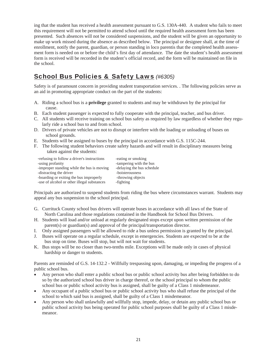ing that the student has received a health assessment pursuant to G.S. 130A-440. A student who fails to meet this requirement will not be permitted to attend school until the required health assessment form has been presented. Such absences will not be considered suspensions, and the student will be given an opportunity to make up work missed during the absence as described below. The principal or designee shall, at the time of enrollment, notify the parent, guardian, or person standing in loco parentis that the completed health assessment form is needed on or before the child's first day of attendance. The date the student's health assessment form is received will be recorded in the student's official record, and the form will be maintained on file in the school.

### School Bus Policies & Safety Laws *(#6305)*

Safety is of paramount concern in providing student transportation services. . The following policies serve as an aid in promoting appropriate conduct on the part of the students:

- A. Riding a school bus is a **privilege** granted to students and may be withdrawn by the principal for cause.
- B. Each student passenger is expected to fully cooperate with the principal, teacher, and bus driver.
- C. All students will receive training on school bus safety as required by law regardless of whether they regularly ride a school bus to and from school.
- D. Drivers of private vehicles are not to disrupt or interfere with the loading or unloading of buses on school grounds.
- E. Students will be assigned to buses by the principal in accordance with G.S. 115C-244.
- F. The following student behaviors create safety hazards and will result in disciplinary measures being taken against the students:

| -refusing to follow a driver's instructions | -eating or smoking         |
|---------------------------------------------|----------------------------|
| -using profanity                            | -tampering with the bus    |
| -improper standing while the bus is moving  | -delaying the bus schedule |
| -distracting the driver                     | -boisterousness            |
| -boarding or exiting the bus improperly     | -throwing objects          |
| -use of alcohol or other illegal substances | -fighting                  |
|                                             |                            |

Principals are authorized to suspend students from riding the bus where circumstances warrant. Students may appeal any bus suspension to the school principal.

- G. Currituck County school bus drivers will operate buses in accordance with all laws of the State of North Carolina and those regulations contained in the Handbook for School Bus Drivers.
- H. Students will load and/or unload at regularly designated stops except upon written permission of the parent(s) or guardian(s) and approval of the principal/transportation director.
- I. Only assigned passengers will be allowed to ride a bus unless permission is granted by the principal.
- J. Buses will operate on a regular schedule, except in emergencies. Students are expected to be at the bus stop on time. Buses will stop, but will not wait for students.
- K. Bus stops will be no closer than two-tenths mile. Exceptions will be made only in cases of physical hardship or danger to students.

Parents are reminded of G.S. 14-132.2 - Willfully trespassing upon, damaging, or impeding the progress of a public school bus.

- Any person who shall enter a public school bus or public school activity bus after being forbidden to do so by the authorized school bus driver in charge thereof, or the school principal to whom the public school bus or public school activity bus is assigned, shall be guilty of a Class 1 misdemeanor.
- Any occupant of a public school bus or public school activity bus who shall refuse the principal of the school to which said bus is assigned, shall be guilty of a Class 1 misdemeanor.
- Any person who shall unlawfully and willfully stop, impede, delay, or detain any public school bus or public school activity bus being operated for public school purposes shall be guilty of a Class 1 misdemeanor.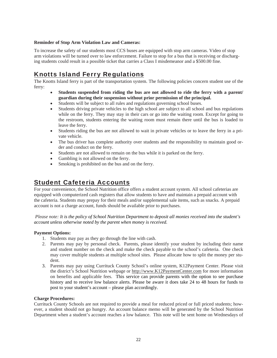#### **Reminder of Stop Arm Violation Law and Cameras:**

To increase the safety of our students most CCS buses are equipped with stop arm cameras. Video of stop arm violations will be turned over to law enforcement. Failure to stop for a bus that is receiving or discharging students could result in a possible ticket that carries a Class I misdemeanor and a \$500.00 fine.

### Knotts Island Ferry Regulations

The Knotts Island ferry is part of the transportation system. The following policies concern student use of the ferry:

- **Students suspended from riding the bus are not allowed to ride the ferry with a parent/ guardian during their suspension without prior permission of the principal.**
- Students will be subject to all rules and regulations governing school buses.
- Students driving private vehicles to the high school are subject to all school and bus regulations while on the ferry. They may stay in their cars or go into the waiting room. Except for going to the restroom, students entering the waiting room must remain there until the bus is loaded to leave the ferry.
- Students riding the bus are not allowed to wait in private vehicles or to leave the ferry in a private vehicle.
- The bus driver has complete authority over students and the responsibility to maintain good order and conduct on the ferry.
- Students are not allowed to remain on the bus while it is parked on the ferry.
- Gambling is not allowed on the ferry.
- Smoking is prohibited on the bus and on the ferry.

### Student Cafeteria Accounts

For your convenience, the School Nutrition office offers a student account system. All school cafeterias are equipped with computerized cash registers that allow students to have and maintain a prepaid account with the cafeteria. Students may prepay for their meals and/or supplemental sale items, such as snacks*.* A prepaid account is not a charge account, funds should be available prior to purchases.

 *Please note: It is the policy of School Nutrition Department to deposit all monies received into the student's account unless otherwise noted by the parent when money is received.* 

#### **Payment Options:**

- 1. Students may pay as they go through the line with cash.
- 2. Parents may pay by personal check. Parents, please identify your student by including their name and student number on the check and make the check payable to the school's cafeteria. One check may cover multiple students at multiple school sites. Please allocate how to split the money per student.
- 3. Parents may pay using Currituck County School's online system, K12Payment Center. Please visit the district's School Nutrition webpage or http://www.K12PaymentCenter.com for more information on benefits and applicable fees. This service can provide parents with the option to see purchase history and to receive low balance alerts. Please be aware it does take 24 to 48 hours for funds to post to your student's account – please plan accordingly.

#### **Charge Procedures:**

Currituck County Schools are not required to provide a meal for reduced priced or full priced students; however, a student should not go hungry. An account balance memo will be generated by the School Nutrition Department when a student's account reaches a low balance. This note will be sent home on Wednesdays of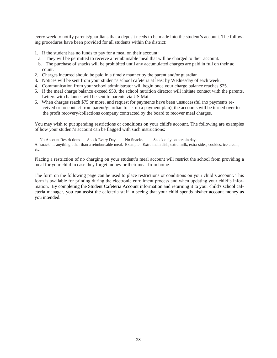every week to notify parents/guardians that a deposit needs to be made into the student's account. The following procedures have been provided for all students within the district:

- 1. If the student has no funds to pay for a meal on their account:
- a. They will be permitted to receive a reimbursable meal that will be charged to their account.
- b. The purchase of snacks will be prohibited until any accumulated charges are paid in full on their ac count.
- 2. Charges incurred should be paid in a timely manner by the parent and/or guardian.
- 3. Notices will be sent from your student's school cafeteria at least by Wednesday of each week.
- 4. Communication from your school administrator will begin once your charge balance reaches \$25.
- 5. If the meal charge balance exceed \$50, the school nutrition director will initiate contact with the parents. Letters with balances will be sent to parents via US Mail.
- 6. When charges reach \$75 or more, and request for payments have been unsuccessful (no payments received or no contact from parent/guardian to set up a payment plan), the accounts will be turned over to the profit recovery/collections company contracted by the board to recover meal charges.

You may wish to put spending restrictions or conditions on your child's account. The following are examples of how your student's account can be flagged with such instructions:

 -No Account Restrictions -Snack Every Day -No Snacks - Snack only on certain days A "snack" is anything other than a reimbursable meal. Example: Extra main dish, extra milk, extra sides, cookies, ice cream, etc.

Placing a restriction of no charging on your student's meal account will restrict the school from providing a meal for your child in case they forget money or their meal from home.

The form on the following page can be used to place restrictions or conditions on your child's account. This form is available for printing during the electronic enrollment process and when updating your child's information. By completing the Student Cafeteria Account information and returning it to your child's school cafeteria manager, you can assist the cafeteria staff in seeing that your child spends his/her account money as you intended.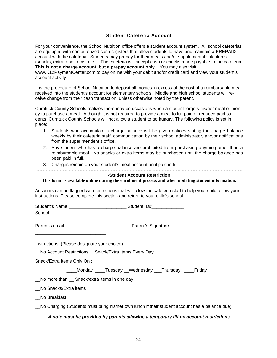#### Student Cafeteria Account

For your convenience, the School Nutrition office offers a student account system. All school cafeterias are equipped with computerized cash registers that allow students to have and maintain a **PREPAID** account with the cafeteria. Students may prepay for their meals and/or supplemental sale items (snacks, extra food items, etc.). The cafeteria will accept cash or checks made payable to the cafeteria. **This is not a charge account, but a prepay account only**. You may also visit www.K12PaymentCenter.com to pay online with your debit and/or credit card and view your student's account activity.

It is the procedure of School Nutrition to deposit all monies in excess of the cost of a reimbursable meal received into the student's account for elementary schools. Middle and high school students will receive change from their cash transaction, unless otherwise noted by the parent.

Currituck County Schools realizes there may be occasions when a student forgets his/her meal or money to purchase a meal. Although it is not required to provide a meal to full paid or reduced paid students, Currituck County Schools will not allow a student to go hungry. The following policy is set in place:

- 1. Students who accumulate a charge balance will be given notices stating the charge balance weekly by their cafeteria staff, communication by their school administrator, and/or notifications from the superintendent's office.
- 2. Any student who has a charge balance are prohibited from purchasing anything other than a reimbursable meal. No snacks or extra items may be purchased until the charge balance has been paid in full.
- 3. Charges remain on your student's meal account until paid in full.

#### **- - - - - - - - - - - - - - - - - - - - - - - - - - - - - - - - - - - - - - - - - - - - - - - - - - - - - - - - - - - - - - - - - - - - - - - - -**

#### **-Student Account Restriction**

**This form is available online during the enrollment process and when updating student information.** 

Accounts can be flagged with restrictions that will allow the cafeteria staff to help your child follow your instructions. Please complete this section and return to your child's school.

Student's Name:\_\_\_\_\_\_\_\_\_\_\_\_\_\_\_\_\_\_\_\_\_\_\_ Student ID#\_\_\_\_\_\_\_\_\_\_\_\_\_

School:

Parent's email: \_\_\_\_\_\_\_\_\_\_\_\_\_\_\_\_\_\_\_\_\_\_\_\_\_ Parent's Signature:

Instructions: (Please designate your choice)

\_\_\_\_\_\_\_\_\_\_\_\_\_\_\_\_\_\_\_\_\_\_\_\_\_\_\_\_

\_\_No Account Restrictions \_\_Snack/Extra Items Every Day

Snack/Extra Items Only On :

Monday Tuesday Wednesday Thursday Friday

\_\_No more than \_\_ Snack/extra items in one day

No Snacks/Extra items

\_\_No Breakfast

\_\_No Charging (Students must bring his/her own lunch if their student account has a balance due)

#### *A note must be provided by parents allowing a temporary lift on account restrictions*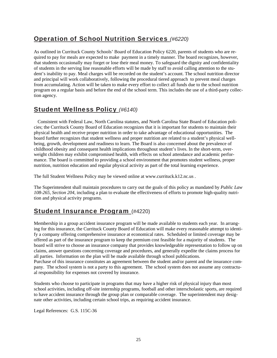### Operation of School Nutrition Services *(#6220)*

As outlined in Currituck County Schools' Board of Education Policy 6220, parents of students who are required to pay for meals are expected to make payment in a timely manner. The board recognizes, however, that students occasionally may forget or lose their meal money. To safeguard the dignity and confidentiality of students in the serving line reasonable efforts will be made by staff to avoid calling attention to the student's inability to pay. Meal charges will be recorded on the student's account. The school nutrition director and principal will work collaboratively, following the procedural tiered approach to prevent meal charges from accumulating. Action will be taken to make every effort to collect all funds due to the school nutrition program on a regular basis and before the end of the school term. This includes the use of a third-party collection agency.

### Student Wellness Policy *(#6140)*

 Consistent with Federal Law, North Carolina statutes, and North Carolina State Board of Education policies; the Currituck County Board of Education recognizes that it is important for students to maintain their physical health and receive proper nutrition in order to take advantage of educational opportunities. The board further recognizes that student wellness and proper nutrition are related to a student's physical wellbeing, growth, development and readiness to learn. The Board is also concerned about the prevalence of childhood obesity and consequent health implications throughout student's lives. In the short-term, overweight children may exhibit compromised health, with effects on school attendance and academic performance. The board is committed to providing a school environment that promotes student wellness, proper nutrition, nutrition education and regular physical activity as part of the total learning experience.

The full Student Wellness Policy may be viewed online at www.currituck.k12.nc.us .

The Superintendent shall maintain procedures to carry out the goals of this policy as mandated by *Public Law 108-265, Section 204*, including a plan to evaluate the effectiveness of efforts to promote high-quality nutrition and physical activity programs.

### Student Insurance Program (#4220)

Membership in a group accident insurance program will be made available to students each year. In arranging for this insurance, the Currituck County Board of Education will make every reasonable attempt to identify a company offering comprehensive insurance at economical rates. Scheduled or limited coverage may be offered as part of the insurance program to keep the premium cost feasible for a majority of students. The board will strive to choose an insurance company that provides knowledgeable representation to follow up on claims, answer questions concerning coverage and procedures, and generally expedite the claims process for all parties. Information on the plan will be made available through school publications.

Purchase of this insurance constitutes an agreement between the student and/or parent and the insurance company. The school system is not a party to this agreement. The school system does not assume any contractual responsibility for expenses not covered by insurance.

Students who choose to participate in programs that may have a higher risk of physical injury than most school activities, including off-site internship programs, football and other interscholastic sports, are required to have accident insurance through the group plan or comparable coverage. The superintendent may designate other activities, including certain school trips, as requiring accident insurance.

Legal References: G.S. 115C-36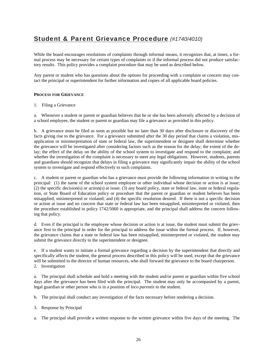### Student & Parent Grievance Procedure *(#1740/4010)*

While the board encourages resolutions of complaints through informal means, it recognizes that, at times, a formal process may be necessary for certain types of complaints or if the informal process did not produce satisfactory results. This policy provides a complaint procedure that may be used as described below.

Any parent or student who has questions about the options for proceeding with a complaint or concern may contact the principal or superintendent for further information and copies of all applicable board policies.

#### **PROCESS FOR GRIEVANCE**

1. Filing a Grievance

a. Whenever a student or parent or guardian believes that he or she has been adversely affected by a decision of a school employee, the student or parent or guardian may file a grievance as provided in this policy.

b. A grievance must be filed as soon as possible but no later than 30 days after disclosure or discovery of the facts giving rise to the grievance. For a grievance submitted after the 30 day period that claims a violation, misapplication or misinterpretation of state or federal law, the superintendent or designee shall determine whether the grievance will be investigated after considering factors such as the reason for the delay; the extent of the delay; the effect of the delay on the ability of the school system to investigate and respond to the complaint; and whether the investigation of the complaint is necessary to meet any legal obligations. However, students, parents and guardians should recognize that delays in filing a grievance may significantly impair the ability of the school system to investigate and respond effectively to such complaints.

c. A student or parent or guardian who has a grievance must provide the following information in writing to the principal: (1) the name of the school system employee or other individual whose decision or action is at issue; (2) the specific decision(s) or action(s) at issue; (3) any board policy, state or federal law, state or federal regulation, or State Board of Education policy or procedure that the parent or guardian or student believes has been misapplied, misinterpreted or violated; and (4) the specific resolution desired. If there is not a specific decision or action at issue and no concern that state or federal law has been misapplied, misinterpreted or violated, then the procedure established in policy 1742/5060 is appropriate, and the principal shall address the concern following that policy.

d. Even if the principal is the employee whose decision or action is at issue, the student must submit the grievance first to the principal in order for the principal to address the issue within the formal process. If, however, the grievance claims that a state or federal law has been misapplied, misinterpreted or violated, the student may submit the grievance directly to the superintendent or designee.

e. If a student wants to initiate a formal grievance regarding a decision by the superintendent that directly and specifically affects the student, the general process described in this policy will be used, except that the grievance will be submitted to the director of human resources, who shall forward the grievance to the board chairperson. 2. Investigation

a. The principal shall schedule and hold a meeting with the student and/or parent or guardian within five school days after the grievance has been filed with the principal. The student may only be accompanied by a parent, legal guardian or other person who is in a position of *loco parentis* to the student.

b. The principal shall conduct any investigation of the facts necessary before rendering a decision.

- 3. Response by Principal
- a. The principal shall provide a written response to the written grievance within five days of the meeting. The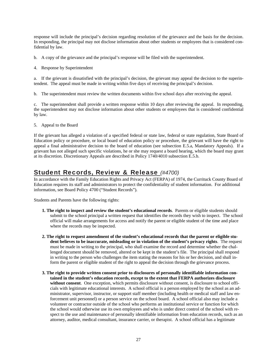response will include the principal's decision regarding resolution of the grievance and the basis for the decision. In responding, the principal may not disclose information about other students or employees that is considered confidential by law.

- b. A copy of the grievance and the principal's response will be filed with the superintendent.
- 4. Response by Superintendent

a. If the grievant is dissatisfied with the principal's decision, the grievant may appeal the decision to the superintendent. The appeal must be made in writing within five days of receiving the principal's decision.

b. The superintendent must review the written documents within five school days after receiving the appeal.

c. The superintendent shall provide a written response within 10 days after reviewing the appeal. In responding, the superintendent may not disclose information about other students or employees that is considered confidential by law.

5. Appeal to the Board

If the grievant has alleged a violation of a specified federal or state law, federal or state regulation, State Board of Education policy or procedure, or local board of education policy or procedure, the grievant will have the right to appeal a final administrative decision to the board of education (see subsection E.5.a, Mandatory Appeals). If a grievant has not alleged such specific violations, he or she may request a board hearing, which the board may grant at its discretion. Discretionary Appeals are described in Policy 1740/4010 subsection E.5.b.

### Student Records, Review & Release *(#4700)*

In accordance with the Family Education Rights and Privacy Act (FERPA) of 1974, the Currituck County Board of Education requires its staff and administrators to protect the confidentiality of student information. For additional information, see Board Policy 4700 ("Student Records").

Students and Parents have the following rights:

- **1. The right to inspect and review the student's educational records**. Parents or eligible students should submit to the school principal a written request that identifies the records they wish to inspect. The school official will make arrangements for access and notify the parent or eligible student of the time and place where the records may be inspected.
- **2. The right to request amendment of the student's educational records that the parent or eligible student believes to be inaccurate, misleading or in violation of the student's privacy rights**. The request must be made in writing to the principal, who shall examine the record and determine whether the challenged document should be removed, altered or be kept in the student's file. The principal shall respond in writing to the person who challenges the item stating the reasons for his or her decision, and shall inform the parent or eligible student of the right to appeal the decision through the grievance process.
- **3. The right to provide written consent prior to disclosures of personally identifiable information contained in the student's education records, except to the extent that FERPA authorizes disclosure without consent**. One exception, which permits disclosure without consent, is disclosure to school officials with legitimate educational interests. A school official is a person employed by the school as an administrator, supervisor, instructor, or support staff member (including health or medical staff and law enforcement unit personnel) or a person service on the school board. A school official also may include a volunteer or contractor outside of the school who performs an institutional service or function for which the school would otherwise use its own employees and who is under direct control of the school with respect to the use and maintenance of personally identifiable information from education records, such as an attorney, auditor, medical consultant, insurance carrier, or therapist. A school official has a legitimate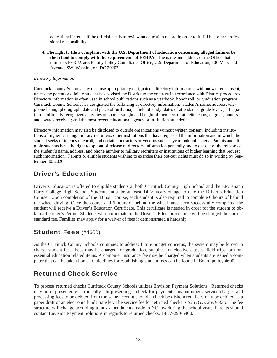educational interest if the official needs to review an education record in order to fulfill his or her professional responsibility.

**4. The right to file a complaint with the U.S. Department of Education concerning alleged failures by the school to comply with the requirements of FERPA**. The name and address of the Office that administers FERPA are: Family Policy Compliance Office, U.S. Department of Education, 400 Maryland Avenue, SW, Washington, DC 20202

#### *Directory Information*

Currituck County Schools may disclose appropriately designated "directory information" without written consent, unless the parent or eligible student has advised the District to the contrary in accordance with District procedures. Directory information is often used in school publications such as a yearbook, honor roll, or graduation program. Currituck County Schools has designated the following as directory information: student's name; address; telephone listing; photograph; date and place of birth; major field of study; dates of attendance; grade level; participation in officially recognized activities or sports; weight and height of members of athletic teams; degrees, honors, and awards received; and the most recent educational agency or institution attended.

Directory information may also be disclosed to outside organizations without written consent, including institutions of higher learning, military recruiters, other institutions that have requested the information and in which the student seeks or intends to enroll, and certain contractors or vendors such as yearbook publishers. Parents and eligible students have the right to opt out of release of directory information generally and to opt out of the release of the student's name, address, and phone number to military recruiters or institutions of higher learning that request such information. Parents or eligible students wishing to exercise their opt-out rights must do so in writing by September 30, 2020.

### Driver's Education

Driver's Education is offered to eligible students at both Currituck County High School and the J.P. Knapp Early College High School. Students must be at least 14 ½ years of age to take the Driver's Education Course. Upon completion of the 30 hour course, each student is also required to complete 6 hours of behind the wheel driving. Once the course and 6 hours of behind the wheel have been successfully completed the student will receive a Driver's Education Certificate. This certificate is needed in order for the student to obtain a Learner's Permit. Students who participate in the Driver's Education course will be charged the current standard fee. Families may apply for a waiver of fees if demonstrated a hardship.

### Student Fees (#4600)

As the Currituck County Schools continues to address future budget concerns, the system may be forced to charge student fees. Fees may be charged for graduation, supplies for elective classes, field trips, or nonessential education related items. A computer insurance fee may be charged when students are issued a computer that can be taken home. Guidelines for establishing student fees can be found in Board policy 4600.

### Returned Check Service

To process returned checks Currituck County Schools utilizes Envision Payment Solutions. Returned checks may be re-presented electronically. In presenting a check for payment, this authorizes service charges and processing fees to be debited from the same account should a check be dishonored. Fees may be debited as a paper draft or an electronic funds transfer. The service fee for returned checks is \$25 *(G.S. 25-3-506)*. The fee structure will change according to any amendments made to NC law during the school year. Parents should contact Envision Payment Solutions in regards to returned checks, 1-877-290-5460.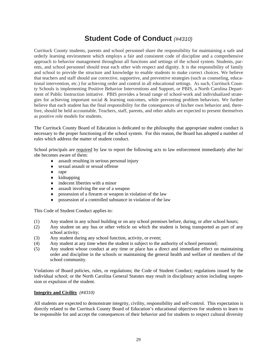## **Student Code of Conduct** *(#4310)*

Currituck County students, parents and school personnel share the responsibility for maintaining a safe and orderly learning environment which employs a fair and consistent code of discipline and a comprehensive approach to behavior management throughout all functions and settings of the school system. Students, parents, and school personnel should treat each other with respect and dignity. It is the responsibility of family and school to provide the structure and knowledge to enable students to make correct choices. We believe that teachers and staff should use corrective, supportive, and preventive strategies (such as counseling, educational intervention, etc.) for achieving order and control in all educational settings. As such, Currituck County Schools is implementing Positive Behavior Interventions and Support, or PBIS, a North Carolina Department of Public Instruction initiative. PBIS provides a broad range of school-work and individualized strategies for achieving important social & learning outcomes, while preventing problem behaviors. We further believe that each student has the final responsibility for the consequences of his/her own behavior and, therefore, should be held accountable. Teachers, staff, parents, and other adults are expected to present themselves as positive role models for students.

The Currituck County Board of Education is dedicated to the philosophy that appropriate student conduct is necessary to the proper functioning of the school system. For this reason, the Board has adopted a number of rules which address the matter of student conduct.

School principals are required by law to report the following acts to law enforcement immediately after he/ she becomes aware of them:

- assault resulting in serious personal injury
- sexual assault or sexual offense
- $\bullet$  rape
- $\bullet$  kidnapping
- $\bullet$  indecent liberties with a minor
- assault involving the use of a weapon
- possession of a firearm or weapon in violation of the law
- possession of a controlled substance in violation of the law

This Code of Student Conduct applies to:

- (1) Any student in any school building or on any school premises before, during, or after school hours;
- (2) Any student on any bus or other vehicle on which the student is being transported as part of any school activity;
- (3) Any student during any school function, activity, or event;
- (4) Any student at any time when the student is subject to the authority of school personnel;
- (5) Any student whose conduct at any time or place has a direct and immediate effect on maintaining order and discipline in the schools or maintaining the general health and welfare of members of the school community.

Violations of Board policies, rules, or regulations; the Code of Student Conduct; regulations issued by the individual school; or the North Carolina General Statutes may result in disciplinary action including suspension or expulsion of the student.

#### **Integrity and Civility** *(#4310)*

All students are expected to demonstrate integrity, civility, responsibility and self-control. This expectation is directly related to the Currituck County Board of Education's educational objectives for students to learn to be responsible for and accept the consequences of their behavior and for students to respect cultural diversity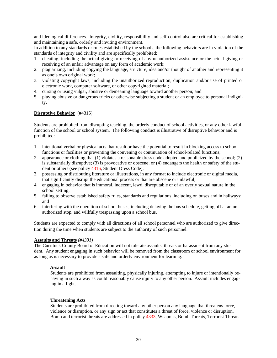and ideological differences. Integrity, civility, responsibility and self-control also are critical for establishing and maintaining a safe, orderly and inviting environment.

In addition to any standards or rules established by the schools, the following behaviors are in violation of the standards of integrity and civility and are specifically prohibited:

- 1. cheating, including the actual giving or receiving of any unauthorized assistance or the actual giving or receiving of an unfair advantage on any form of academic work;
- 2. plagiarizing, including copying the language, structure, idea and/or thought of another and representing it as one's own original work;
- 3. violating copyright laws, including the unauthorized reproduction, duplication and/or use of printed or electronic work, computer software, or other copyrighted material;
- 4. cursing or using vulgar, abusive or demeaning language toward another person; and
- 5. playing abusive or dangerous tricks or otherwise subjecting a student or an employee to personal indignity.

#### **Disruptive Behavior** (#4315)

Students are prohibited from disrupting teaching, the orderly conduct of school activities, or any other lawful function of the school or school system. The following conduct is illustrative of disruptive behavior and is prohibited:

- 1. intentional verbal or physical acts that result or have the potential to result in blocking access to school functions or facilities or preventing the convening or continuation of school-related functions;
- 2. appearance or clothing that (1) violates a reasonable dress code adopted and publicized by the school; (2) is substantially disruptive; (3) is provocative or obscene; or (4) endangers the health or safety of the student or others (see policy 4316, Student Dress Code);
- 3. possessing or distributing literature or illustrations, in any format to include electronic or digital media, that significantly disrupt the educational process or that are obscene or unlawful;
- 4. engaging in behavior that is immoral, indecent, lewd, disreputable or of an overly sexual nature in the school setting;
- 5. failing to observe established safety rules, standards and regulations, including on buses and in hallways; and
- 6. interfering with the operation of school buses, including delaying the bus schedule, getting off at an unauthorized stop, and willfully trespassing upon a school bus.

Students are expected to comply with all directions of all school personnel who are authorized to give direction during the time when students are subject to the authority of such personnel.

#### **Assaults and Threats** *(#4331)*

The Currituck County Board of Education will not tolerate assaults, threats or harassment from any student. Any student engaging in such behavior will be removed from the classroom or school environment for as long as is necessary to provide a safe and orderly environment for learning.

#### **Assault**

Students are prohibited from assaulting, physically injuring, attempting to injure or intentionally behaving in such a way as could reasonably cause injury to any other person. Assault includes engaging in a fight.

#### **Threatening Acts**

Students are prohibited from directing toward any other person any language that threatens force, violence or disruption, or any sign or act that constitutes a threat of force, violence or disruption. Bomb and terrorist threats are addressed in policy 4333, Weapons, Bomb Threats, Terrorist Threats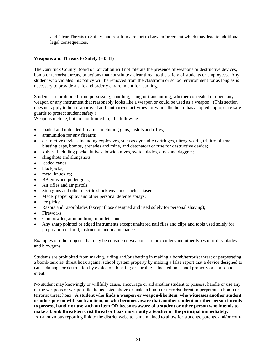and Clear Threats to Safety, and result in a report to Law enforcement which may lead to additional legal consequences.

#### **Weapons and Threats to Safety** (#4333)

The Currituck County Board of Education will not tolerate the presence of weapons or destructive devices, bomb or terrorist threats, or actions that constitute a clear threat to the safety of students or employees. Any student who violates this policy will be removed from the classroom or school environment for as long as is necessary to provide a safe and orderly environment for learning.

Students are prohibited from possessing, handling, using or transmitting, whether concealed or open, any weapon or any instrument that reasonably looks like a weapon or could be used as a weapon. (This section does not apply to board-approved and -authorized activities for which the board has adopted appropriate safeguards to protect student safety.)

Weapons include, but are not limited to, the following:

- loaded and unloaded firearms, including guns, pistols and rifles;
- ammunition for any firearm;
- destructive devices including explosives, such as dynamite cartridges, nitroglycerin, trinitrotoluene, blasting caps, bombs, grenades and mine, and detonators or fuse for destructive device;
- knives, including pocket knives, bowie knives, switchblades, dirks and daggers;
- slingshots and slungshots;
- leaded canes;
- blackjacks;
- metal knuckles;
- BB guns and pellet guns;
- Air rifles and air pistols;
- Stun guns and other electric shock weapons, such as tasers;
- Mace, pepper spray and other personal defense sprays;
- $\bullet$  Ice picks;
- Razors and razor blades (except those designed and used solely for personal shaving);
- Fireworks:
- Gun powder, ammunition, or bullets; and
- Any sharp pointed or edged instruments except unaltered nail files and clips and tools used solely for preparation of food, instruction and maintenance.

Examples of other objects that may be considered weapons are box cutters and other types of utility blades and blowguns.

Students are prohibited from making, aiding and/or abetting in making a bomb/terrorist threat or perpetrating a bomb/terrorist threat hoax against school system property by making a false report that a device designed to cause damage or destruction by explosion, blasting or burning is located on school property or at a school event.

No student may knowingly or willfully cause, encourage or aid another student to possess, handle or use any of the weapons or weapon-like items listed above or make a bomb or terrorist threat or perpetrate a bomb or terrorist threat hoax. **A student who finds a weapon or weapon-like item, who witnesses another student or other person with such an item, or who becomes aware that another student or other person intends to possess, handle or use such an item OR becomes aware of a student or other person who intends to make a bomb threat/terrorist threat or hoax must notify a teacher or the principal immediately.** An anonymous reporting link to the district website is maintained to allow for students, parents, and/or com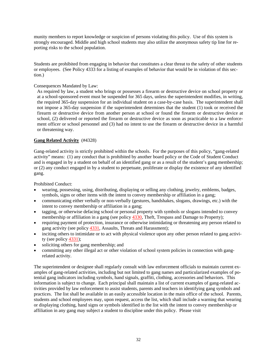munity members to report knowledge or suspicion of persons violating this policy. Use of this system is strongly encouraged. Middle and high school students may also utilize the anonymous safety tip line for reporting risks to the school population.

Students are prohibited from engaging in behavior that constitutes a clear threat to the safety of other students or employees. (See Policy 4333 for a listing of examples of behavior that would be in violation of this section.)

#### Consequences Mandated by Law:

As required by law, a student who brings or possesses a firearm or destructive device on school property or at a school-sponsored event must be suspended for 365 days, unless the superintendent modifies, in writing, the required 365-day suspension for an individual student on a case-by-case basis. The superintendent shall not impose a 365-day suspension if the superintendent determines that the student (1) took or received the firearm or destructive device from another person at school or found the firearm or destructive device at school, (2) delivered or reported the firearm or destructive device as soon as practicable to a law enforcement officer or school personnel and (3) had no intent to use the firearm or destructive device in a harmful or threatening way.

#### **Gang Related Activity** (#4328)

Gang-related activity is strictly prohibited within the schools. For the purposes of this policy, "gang-related activity" means: (1) any conduct that is prohibited by another board policy or the Code of Student Conduct and is engaged in by a student on behalf of an identified gang or as a result of the student's gang membership; or (2) any conduct engaged in by a student to perpetuate, proliferate or display the existence of any identified gang.

Prohibited Conduct:

- wearing, possessing, using, distributing, displaying or selling any clothing, jewelry, emblems, badges, symbols, signs or other items with the intent to convey membership or affiliation in a gang;
- communicating either verbally or non-verbally (gestures, handshakes, slogans, drawings, etc.) with the intent to convey membership or affiliation in a gang;
- tagging, or otherwise defacing school or personal property with symbols or slogans intended to convey membership or affiliation in a gang (see policy 4330, Theft, Trespass and Damage to Property);
- requiring payment of protection, insurance or otherwise intimidating or threatening any person related to gang activity (see policy 4331, Assaults, Threats and Harassment);
- inciting others to intimidate or to act with physical violence upon any other person related to gang activity (see policy 4331);
- soliciting others for gang membership; and
- committing any other illegal act or other violation of school system policies in connection with gangrelated activity.

The superintendent or designee shall regularly consult with law enforcement officials to maintain current examples of gang-related activities, including but not limited to gang names and particularized examples of potential gang indicators including symbols, hand signals, graffiti, clothing, accessories and behaviors. This information is subject to change. Each principal shall maintain a list of current examples of gang-related activities provided by law enforcement to assist students, parents and teachers in identifying gang symbols and practices. The list shall be available in an easily accessible location in the main office of the school. Parents, students and school employees may, upon request, access the list, which shall include a warning that wearing or displaying clothing, hand signs or symbols identified in the list with the intent to convey membership or affiliation in any gang may subject a student to discipline under this policy. Please visit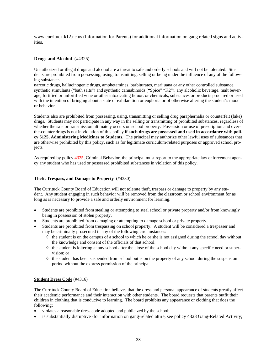www.currituck.k12.nc.us (Information for Parents) for additional information on gang related signs and activities.

#### **Drugs and Alcohol** (#4325)

Unauthorized or illegal drugs and alcohol are a threat to safe and orderly schools and will not be tolerated. Students are prohibited from possessing, using, transmitting, selling or being under the influence of any of the following substances:

narcotic drugs, hallucinogenic drugs, amphetamines, barbiturates, marijuana or any other controlled substance, synthetic stimulants ("bath salts") and synthetic cannabinoids ("Spice" "K2"), any alcoholic beverage, malt beverage, fortified or unfortified wine or other intoxicating liquor, or chemicals, substances or products procured or used with the intention of bringing about a state of exhilaration or euphoria or of otherwise altering the student's mood or behavior.

Students also are prohibited from possessing, using, transmitting or selling drug paraphernalia or counterfeit (fake) drugs. Students may not participate in any way in the selling or transmitting of prohibited substances, regardless of whether the sale or transmission ultimately occurs on school property. Possession or use of prescription and overthe-counter drugs is not in violation of this policy **if such drugs are possessed and used in accordance with policy 6125, Administering Medicines to Students.** The principal may authorize other lawful uses of substances that are otherwise prohibited by this policy, such as for legitimate curriculum-related purposes or approved school projects.

As required by policy  $4335$ , Criminal Behavior, the principal must report to the appropriate law enforcement agency any student who has used or possessed prohibited substances in violation of this policy.

#### **Theft, Trespass, and Damage to Property** (#4330)

The Currituck County Board of Education will not tolerate theft, trespass or damage to property by any student. Any student engaging in such behavior will be removed from the classroom or school environment for as long as is necessary to provide a safe and orderly environment for learning.

- Students are prohibited from stealing or attempting to steal school or private property and/or from knowingly being in possession of stolen property.
- Students are prohibited from damaging or attempting to damage school or private property.
- Students are prohibited from trespassing on school property. A student will be considered a trespasser and may be criminally prosecuted in any of the following circumstances:
	- $\Diamond$  the student is on the campus of a school to which he or she is not assigned during the school day without the knowledge and consent of the officials of that school;
	- $\Diamond$  the student is loitering at any school after the close of the school day without any specific need or supervision; or
	- $\Diamond$  the student has been suspended from school but is on the property of any school during the suspension period without the express permission of the principal.

#### **Student Dress Code** (#4316)

The Currituck County Board of Education believes that the dress and personal appearance of students greatly affect their academic performance and their interaction with other students. The board requests that parents outfit their children in clothing that is conducive to learning. The board prohibits any appearance or clothing that does the following:

- violates a reasonable dress code adopted and publicized by the school;
- is substantially disruptive -for information on gang-related attire, see policy 4328 Gang-Related Activity;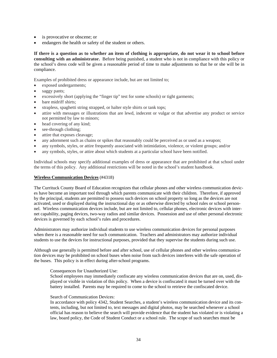- is provocative or obscene; or
- endangers the health or safety of the student or others.

**If there is a question as to whether an item of clothing is appropriate, do not wear it to school before consulting with an administrator.** Before being punished, a student who is not in compliance with this policy or the school's dress code will be given a reasonable period of time to make adjustments so that he or she will be in compliance.

Examples of prohibited dress or appearance include, but are not limited to;

- exposed undergarments;
- saggy pants;
- excessively short (applying the "finger tip" test for some schools) or tight garments;
- bare midriff shirts;
- strapless, spaghetti string strapped, or halter style shirts or tank tops;
- attire with messages or illustrations that are lewd, indecent or vulgar or that advertise any product or service not permitted by law to minors;
- head covering of any kind;
- see-through clothing;
- attire that exposes cleavage;
- any adornment such as chains or spikes that reasonably could be perceived as or used as a weapon;
- any symbols, styles, or attire frequently associated with intimidation, violence, or violent groups; and/or
- any symbols, styles, or attire about which students at a particular school have been notified.

Individual schools may specify additional examples of dress or appearance that are prohibited at that school under the terms of this policy. Any additional restrictions will be noted in the school's student handbook.

#### **Wireless Communication Devices** (#4318)

The Currituck County Board of Education recognizes that cellular phones and other wireless communication devices have become an important tool through which parents communicate with their children. Therefore, if approved by the principal, students are permitted to possess such devices on school property so long as the devices are not activated, used or displayed during the instructional day or as otherwise directed by school rules or school personnel. Wireless communication devices include, but are not limited to, cellular phones, electronic devices with internet capability, paging devices, two-way radios and similar devices. Possession and use of other personal electronic devices is governed by each school's rules and procedures.

Administrators may authorize individual students to use wireless communication devices for personal purposes when there is a reasonable need for such communication. Teachers and administrators may authorize individual students to use the devices for instructional purposes, provided that they supervise the students during such use.

Although use generally is permitted before and after school, use of cellular phones and other wireless communication devices may be prohibited on school buses when noise from such devices interferes with the safe operation of the buses. This policy is in effect during after-school programs.

#### Consequences for Unauthorized Use:

School employees may immediately confiscate any wireless communication devices that are on, used, displayed or visible in violation of this policy. When a device is confiscated it must be turned over with the battery installed. Parents may be required to come to the school to retrieve the confiscated device.

#### Search of Communication Devices:

In accordance with policy 4342, Student Searches, a student's wireless communication device and its contents, including, but not limited to, text messages and digital photos, may be searched whenever a school official has reason to believe the search will provide evidence that the student has violated or is violating a law, board policy, the Code of Student Conduct or a school rule. The scope of such searches must be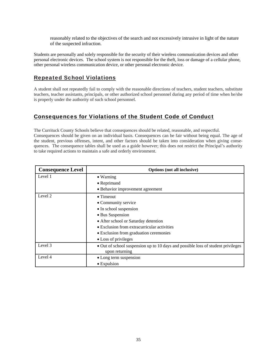reasonably related to the objectives of the search and not excessively intrusive in light of the nature of the suspected infraction.

Students are personally and solely responsible for the security of their wireless communication devices and other personal electronic devices. The school system is not responsible for the theft, loss or damage of a cellular phone, other personal wireless communication device, or other personal electronic device.

### Repeated School Violations

A student shall not repeatedly fail to comply with the reasonable directions of teachers, student teachers, substitute teachers, teacher assistants, principals, or other authorized school personnel during any period of time when he/she is properly under the authority of such school personnel.

### Consequences for Violations of the Student Code of Conduct

The Currituck County Schools believe that consequences should be related, reasonable, and respectful. Consequences should be given on an individual basis. Consequences can be fair without being equal. The age of the student, previous offenses, intent, and other factors should be taken into consideration when giving consequences. The consequence tables shall be used as a guide however; this does not restrict the Principal's authority to take required actions to maintain a safe and orderly environment.

| <b>Consequence Level</b> | <b>Options</b> (not all inclusive)                                                                 |  |
|--------------------------|----------------------------------------------------------------------------------------------------|--|
| Level 1                  | • Warning                                                                                          |  |
|                          | • Reprimand                                                                                        |  |
|                          | • Behavior improvement agreement                                                                   |  |
| Level 2                  | $\bullet$ Timeout                                                                                  |  |
|                          | • Community service                                                                                |  |
|                          | • In school suspension                                                                             |  |
|                          | • Bus Suspension                                                                                   |  |
|                          | • After school or Saturday detention                                                               |  |
|                          | • Exclusion from extracurricular activities                                                        |  |
|                          | • Exclusion from graduation ceremonies                                                             |  |
|                          | • Loss of privileges                                                                               |  |
| Level 3                  | • Out of school suspension up to 10 days and possible loss of student privileges<br>upon returning |  |
| Level 4                  | • Long term suspension                                                                             |  |
|                          | $\bullet$ Expulsion                                                                                |  |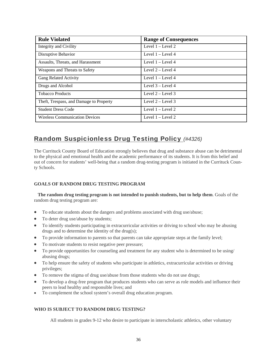| <b>Rule Violated</b>                    | <b>Range of Consequences</b> |
|-----------------------------------------|------------------------------|
| Integrity and Civility                  | Level $1 -$ Level 2          |
| Disruptive Behavior                     | Level $1 -$ Level $4$        |
| Assaults, Threats, and Harassment       | Level $1 -$ Level $4$        |
| Weapons and Threats to Safety           | Level 2 - Level 4            |
| Gang Related Activity                   | Level $1 -$ Level $4$        |
| Drugs and Alcohol                       | Level $3 -$ Level 4          |
| <b>Tobacco Products</b>                 | Level $2 -$ Level 3          |
| Theft, Trespass, and Damage to Property | Level $2 -$ Level 3          |
| <b>Student Dress Code</b>               | Level $1 -$ Level $2$        |
| <b>Wireless Communication Devices</b>   | Level $1 -$ Level $2$        |

### Random Suspicionless Drug Testing Policy *(#4326)*

The Currituck County Board of Education strongly believes that drug and substance abuse can be detrimental to the physical and emotional health and the academic performance of its students. It is from this belief and out of concern for students' well-being that a random drug-testing program is initiated in the Currituck County Schools.

#### **GOALS OF RANDOM DRUG TESTING PROGRAM**

 **The random drug testing program is not intended to punish students, but to help them**. Goals of the random drug testing program are:

- To educate students about the dangers and problems associated with drug use/abuse;
- To deter drug use/abuse by students;
- To identify students participating in extracurricular activities or driving to school who may be abusing drugs and to determine the identity of the drug(s);
- To provide information to parents so that parents can take appropriate steps at the family level;
- To motivate students to resist negative peer pressure;
- To provide opportunities for counseling and treatment for any student who is determined to be using/ abusing drugs;
- To help ensure the safety of students who participate in athletics, extracurricular activities or driving privileges;
- To remove the stigma of drug use/abuse from those students who do not use drugs;
- To develop a drug-free program that produces students who can serve as role models and influence their peers to lead healthy and responsible lives; and
- To complement the school system's overall drug education program.

#### **WHO IS SUBJECT TO RANDOM DRUG TESTING?**

All students in grades 9-12 who desire to participate in interscholastic athletics, other voluntary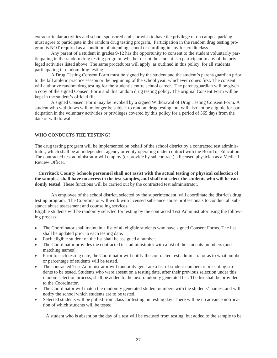extracurricular activities and school sponsored clubs or wish to have the privilege of on campus parking, must agree to participate in the random drug testing program. Participation in the random drug testing program is NOT required as a condition of attending school or enrolling in any for-credit class.

Any parent of a student in grades 9-12 has the opportunity to consent to the student voluntarily participating in the random drug testing program, whether or not the student is a participant in any of the privileged activities listed above. The same procedures will apply, as outlined in this policy, for all students participating in random drug testing.

A Drug Testing Consent Form must be signed by the student and the student's parent/guardian prior to the fall athletic practice season or the beginning of the school year, whichever comes first. The consent will authorize random drug testing for the student's entire school career. The parent/guardian will be given a copy of the signed Consent Form and this random drug testing policy. The original Consent Form will be kept in the student's official file.

A signed Consent Form may be revoked by a signed Withdrawal of Drug Testing Consent Form. A student who withdraws will no longer be subject to random drug testing, but will also not be eligible for participation in the voluntary activities or privileges covered by this policy for a period of 365 days from the date of withdrawal.

#### **WHO CONDUCTS THE TESTING?**

The drug testing program will be implemented on behalf of the school district by a contracted test administrator, which shall be an independent agency or entity operating under contract with the Board of Education. The contracted test administrator will employ (or provide by subcontract) a licensed physician as a Medical Review Officer.

 **Currituck County Schools personnel shall not assist with the actual testing or physical collection of the samples, shall have no access to the test samples, and shall not select the students who will be ran**domly tested. These functions will be carried out by the contracted test administrator.

An employee of the school district, selected by the superintendent, will coordinate the district's drug testing program. The Coordinator will work with licensed substance abuse professionals to conduct all substance abuse assessment and counseling services.

Eligible students will be randomly selected for testing by the contracted Test Administrator using the following process:

- The Coordinator shall maintain a list of all eligible students who have signed Consent Forms. The list shall be updated prior to each testing date.
- Each eligible student on the list shall be assigned a number.
- The Coordinator provides the contracted test administrator with a list of the students' numbers (and matching names).
- Prior to each testing date, the Coordinator will notify the contracted test administrator as to what number or percentage of students will be tested.
- The contracted Test Administrator will randomly generate a list of student numbers representing students to be tested. Students who were absent on a testing date, after their previous selection under this random selection process, shall be added to the next randomly generated list. The list shall be provided to the Coordinator.
- The Coordinator will match the randomly generated student numbers with the students' names, and will notify the school which students are to be tested.
- Selected students will be pulled from class for testing on testing day. There will be no advance notification of which students will be tested.

A student who is absent on the day of a test will be excused from testing, but added to the sample to be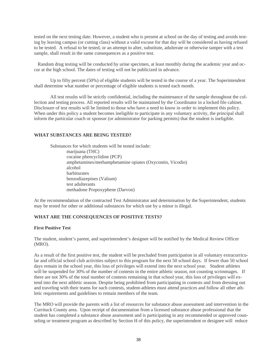tested on the next testing date. However, a student who is present at school on the day of testing and avoids testing by leaving campus (or cutting class) without a valid excuse for that day will be considered as having refused to be tested. A refusal to be tested, or an attempt to alter, substitute, adulterate or otherwise tamper with a test sample, shall result in the same consequences as a positive test.

 Random drug testing will be conducted by urine specimen, at least monthly during the academic year and occur at the high school. The dates of testing will not be publicized in advance.

Up to fifty percent (50%) of eligible students will be tested in the course of a year. The Superintendent shall determine what number or percentage of eligible students is tested each month.

All test results will be strictly confidential, including the maintenance of the sample throughout the collection and testing process. All reported results will be maintained by the Coordinator in a locked file cabinet. Disclosure of test results will be limited to those who have a need to know in order to implement this policy. When under this policy a student becomes ineligible to participate in any voluntary activity, the principal shall inform the particular coach or sponsor (or administrator for parking permits) that the student is ineligible.

#### **WHAT SUBSTANCES ARE BEING TESTED?**

Substances for which students will be tested include: marijuana (THC) cocaine phencyclidine (PCP) amphetamines/methamphetamine opiates (Oxycontin, Vicodin) alcohol barbiturates benzodiazepines (Valium) test adulterants methadone Propoxyphene (Darvon)

At the recommendation of the contracted Test Administrator and determination by the Superintendent, students may be tested for other or additional substances for which use by a minor is illegal.

#### **WHAT ARE THE CONSEQUENCES OF POSITIVE TESTS?**

#### **First Positive Test**

The student, student's parent, and superintendent's designee will be notified by the Medical Review Officer (MRO).

As a result of the first positive test, the student will be precluded from participation in all voluntary extracurricular and official school club activities subject to this program for the next 50 school days. If fewer than 50 school days remain in the school year, this loss of privileges will extend into the next school year. Student athletes will be suspended for 30% of the number of contests in the entire athletic season, not counting scrimmages. If there are not 30% of the total number of contests remaining in that school year, this loss of privileges will extend into the next athletic season. Despite being prohibited from participating in contests and from dressing out and traveling with their teams for such contests, student-athletes must attend practices and follow all other athletic requirements and guidelines to remain members of the team.

The MRO will provide the parents with a list of resources for substance abuse assessment and intervention in the Currituck County area. Upon receipt of documentation from a licensed substance abuse professional that the student has completed a substance abuse assessment and is participating in any recommended or approved counseling or treatment program as described by Section H of this policy, the superintendent or designee will reduce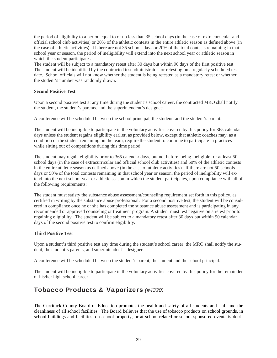the period of eligibility to a period equal to or no less than 35 school days (in the case of extracurricular and official school club activities) or 20% of the athletic contests in the entire athletic season as defined above (in the case of athletic activities). If there are not 35 schools days or 20% of the total contests remaining in that school year or season, the period of ineligibility will extend into the next school year or athletic season in which the student participates.

The student will be subject to a mandatory retest after 30 days but within 90 days of the first positive test. The student will be identified by the contracted test administrator for retesting on a regularly scheduled test date. School officials will not know whether the student is being retested as a mandatory retest or whether the student's number was randomly drawn.

#### **Second Positive Test**

Upon a second positive test at any time during the student's school career, the contracted MRO shall notify the student, the student's parents, and the superintendent's designee.

A conference will be scheduled between the school principal, the student, and the student's parent.

The student will be ineligible to participate in the voluntary activities covered by this policy for 365 calendar days unless the student regains eligibility earlier, as provided below, except that athletic coaches may, as a condition of the student remaining on the team, require the student to continue to participate in practices while sitting out of competitions during this time period.

The student may regain eligibility prior to 365 calendar days, but not before being ineligible for at least 50 school days (in the case of extracurricular and official school club activities) and 50% of the athletic contests in the entire athletic season as defined above (in the case of athletic activities). If there are not 50 schools days or 50% of the total contests remaining in that school year or season, the period of ineligibility will extend into the next school year or athletic season in which the student participates, upon compliance with all of the following requirements:

The student must satisfy the substance abuse assessment/counseling requirement set forth in this policy, as certified in writing by the substance abuse professional. For a second positive test, the student will be considered in compliance once he or she has completed the substance abuse assessment and is participating in any recommended or approved counseling or treatment program. A student must test negative on a retest prior to regaining eligibility. The student will be subject to a mandatory retest after 30 days but within 90 calendar days of the second positive test to confirm eligibility.

#### **Third Positive Test**

Upon a student's third positive test any time during the student's school career, the MRO shall notify the student, the student's parents, and superintendent's designee.

A conference will be scheduled between the student's parent, the student and the school principal.

The student will be ineligible to participate in the voluntary activities covered by this policy for the remainder of his/her high school career.

### Tobacco Products & Vaporizers *(#4320)*

The Currituck County Board of Education promotes the health and safety of all students and staff and the cleanliness of all school facilities. The Board believes that the use of tobacco products on school grounds, in school buildings and facilities, on school property, or at school-related or school-sponsored events is detri-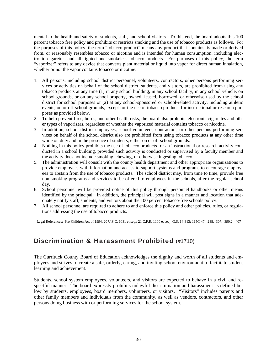mental to the health and safety of students, staff, and school visitors. To this end, the board adopts this 100 percent tobacco free policy and prohibits or restricts smoking and the use of tobacco products as follows. For the purposes of this policy, the term "tobacco product" means any product that contains, is made or derived from, or reasonably resembles tobacco or nicotine and is intended for human consumption, including electronic cigarettes and all lighted and smokeless tobacco products. For purposes of this policy, the term "vaporizer" refers to any device that converts plant material or liquid into vapor for direct human inhalation, whether or not the vapor contains tobacco or nicotine.

- 1. All persons, including school district personnel, volunteers, contractors, other persons performing services or activities on behalf of the school district, students, and visitors, are prohibited from using any tobacco products at any time (1) in any school building, in any school facility, in any school vehicle, on school grounds, or on any school property, owned, leased, borrowed, or otherwise used by the school district for school purposes or (2) at any school-sponsored or school-related activity, including athletic events, on or off school grounds, except for the use of tobacco products for instructional or research purposes as provided below.
- 2. To help prevent fires, burns, and other health risks, the board also prohibits electronic cigarettes and other types of vaporizers, regardless of whether the vaporized material contains tobacco or nicotine.
- 3. In addition, school district employees, school volunteers, contractors, or other persons performing services on behalf of the school district also are prohibited from using tobacco products at any other time while on duty and in the presence of students, either on or off school grounds.
- 4. Nothing in this policy prohibits the use of tobacco products for an instructional or research activity conducted in a school building, provided such activity is conducted or supervised by a faculty member and the activity does not include smoking, chewing, or otherwise ingesting tobacco.
- 5. The administration will consult with the county health department and other appropriate organizations to provide employees with information and access to support systems and programs to encourage employees to abstain from the use of tobacco products. The school district may, from time to time, provide free non-smoking programs and services to be offered to employees in the schools, after the regular school day.
- 6. School personnel will be provided notice of this policy through personnel handbooks or other means identified by the principal. In addition, the principal will post signs in a manner and location that adequately notify staff, students, and visitors about the 100 percent tobacco-free schools policy.
- 7. All school personnel are required to adhere to and enforce this policy and other policies, rules, or regulations addressing the use of tobacco products.

Legal References: Pro-Children Act of 1994, 20 U.S.C. 6081 et seq.; 21 C.F.R. 1100 et seq.; G.S. 14-313; 115C-47, -288, -307, -390.2, -407

### Discrimination & Harassment Prohibited (#1710)

The Currituck County Board of Education acknowledges the dignity and worth of all students and employees and strives to create a safe, orderly, caring, and inviting school environment to facilitate student learning and achievement.

Students, school system employees, volunteers, and visitors are expected to behave in a civil and respectful manner. The board expressly prohibits unlawful discrimination and harassment as defined below by students, employees, board members, volunteers, or visitors. "Visitors" includes parents and other family members and individuals from the community, as well as vendors, contractors, and other persons doing business with or performing services for the school system.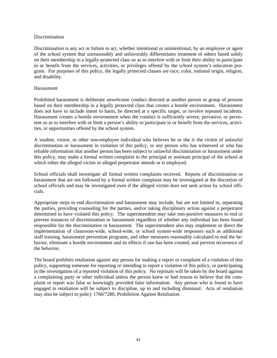#### Discrimination

Discrimination is any act or failure to act, whether intentional or unintentional, by an employee or agent of the school system that unreasonably and unfavorably differentiates treatment of others based solely on their membership in a legally-protected class so as to interfere with or limit their ability to participate in or benefit from the services, activities, or privileges offered by the school system's education program. For purposes of this policy, the legally protected classes are race, color, national origin, religion, and disability.

#### Harassment

Prohibited harassment is deliberate unwelcome conduct directed at another person or group of persons based on their membership in a legally protected class that creates a hostile environment. Harassment does not have to include intent to harm, be directed at a specific target, or involve repeated incidents. Harassment creates a hostile environment when the conduct is sufficiently severe, pervasive, or persistent so as to interfere with or limit a person's ability to participate in or benefit from the services, activities, or opportunities offered by the school system.

A student, visitor, or other non-employee individual who believes he or she is the victim of unlawful discrimination or harassment in violation of this policy, or any person who has witnessed or who has reliable information that another person has been subject to unlawful discrimination or harassment under this policy, may make a formal written complaint to the principal or assistant principal of the school at which either the alleged victim or alleged perpetrator attends or is employed.

School officials shall investigate all formal written complaints received. Reports of discrimination or harassment that are not followed by a formal written complaint may be investigated at the discretion of school officials and may be investigated even if the alleged victim does not seek action by school officials.

Appropriate steps to end discrimination and harassment may include, but are not limited to, separating the parties, providing counseling for the parties, and/or taking disciplinary action against a perpetrator determined to have violated this policy. The superintendent may take non-punitive measures to end or prevent instances of discrimination or harassment regardless of whether any individual has been found responsible for the discrimination or harassment. The superintendent also may implement or direct the implementation of classroom-wide, school-wide, or school system-wide responses such as additional staff training, harassment prevention programs, and other measures reasonably calculated to end the behavior, eliminate a hostile environment and its effects if one has been created, and prevent recurrence of the behavior.

The board prohibits retaliation against any person for making a report or complaint of a violation of this policy, supporting someone for reporting or intending to report a violation of this policy, or participating in the investigation of a reported violation of this policy. No reprisals will be taken by the board against a complaining party or other individual unless the person knew or had reason to believe that the complaint or report was false or knowingly provided false information. Any person who is found to have engaged in retaliation will be subject to discipline, up to and including dismissal. Acts of retaliation may also be subject to policy 1760/7280, Prohibition Against Retaliation.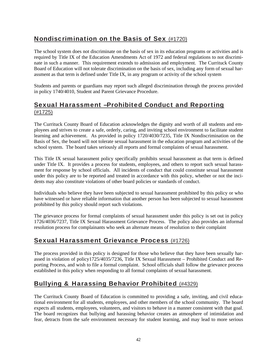### Nondiscrimination on the Basis of Sex (#1720)

The school system does not discriminate on the basis of sex in its education programs or activities and is required by Title IX of the Education Amendments Act of 1972 and federal regulations to not discriminate in such a manner. This requirement extends to admission and employment. The Currituck County Board of Education will not tolerate discrimination on the basis of sex, including any form of sexual harassment as that term is defined under Title IX, in any program or activity of the school system

Students and parents or guardians may report such alleged discrimination through the process provided in policy 1740/4010, Student and Parent Grievance Procedure.

### Sexual Harassment –Prohibited Conduct and Reporting (#1725)

The Currituck County Board of Education acknowledges the dignity and worth of all students and employees and strives to create a safe, orderly, caring, and inviting school environment to facilitate student learning and achievement. As provided in policy 1720/4030/7235, Title IX Nondiscrimination on the Basis of Sex, the board will not tolerate sexual harassment in the education program and activities of the school system. The board takes seriously all reports and formal complaints of sexual harassment.

This Title IX sexual harassment policy specifically prohibits sexual harassment as that term is defined under Title IX. It provides a process for students, employees, and others to report such sexual harassment for response by school officials. All incidents of conduct that could constitute sexual harassment under this policy are to be reported and treated in accordance with this policy, whether or not the incidents may also constitute violations of other board policies or standards of conduct.

Individuals who believe they have been subjected to sexual harassment prohibited by this policy or who have witnessed or have reliable information that another person has been subjected to sexual harassment prohibited by this policy should report such violations.

The grievance process for formal complaints of sexual harassment under this policy is set out in policy 1726/4036/7237, Title IX Sexual Harassment Grievance Process. The policy also provides an informal resolution process for complainants who seek an alternate means of resolution to their complaint

### Sexual Harassment Grievance Process (#1726)

The process provided in this policy is designed for those who believe that they have been sexually harassed in violation of policy1725/4035/7236, Title IX Sexual Harassment – Prohibited Conduct and Reporting Process, and wish to file a formal complaint. School officials shall follow the grievance process established in this policy when responding to all formal complaints of sexual harassment.

### Bullying & Harassing Behavior Prohibited (#4329)

The Currituck County Board of Education is committed to providing a safe, inviting, and civil educational environment for all students, employees, and other members of the school community. The board expects all students, employees, volunteers, and visitors to behave in a manner consistent with that goal. The board recognizes that bullying and harassing behavior creates an atmosphere of intimidation and fear, detracts from the safe environment necessary for student learning, and may lead to more serious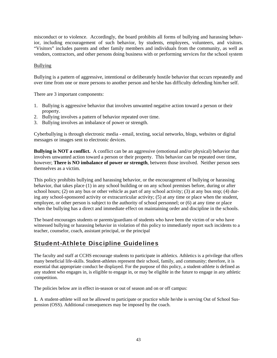misconduct or to violence. Accordingly, the board prohibits all forms of bullying and harassing behavior, including encouragement of such behavior, by students, employees, volunteers, and visitors. "Visitors" includes parents and other family members and individuals from the community, as well as vendors, contractors, and other persons doing business with or performing services for the school system

#### Bullying

Bullying is a pattern of aggressive, intentional or deliberately hostile behavior that occurs repeatedly and over time from one or more persons to another person and he/she has difficulty defending him/her self.

There are 3 important components:

- 1. Bullying is aggressive behavior that involves unwanted negative action toward a person or their property.
- 2. Bullying involves a pattern of behavior repeated over time.
- 3. Bullying involves an imbalance of power or strength.

Cyberbullying is through electronic media - email, texting, social networks, blogs, websites or digital messages or images sent to electronic devices.

**Bullying is NOT a conflict.** A conflict can be an aggressive (emotional and/or physical) behavior that involves unwanted action toward a person or their property. This behavior can be repeated over time, however; **There is NO imbalance of power or strength**, between those involved. Neither person sees themselves as a victim.

This policy prohibits bullying and harassing behavior, or the encouragement of bullying or harassing behavior, that takes place (1) in any school building or on any school premises before, during or after school hours; (2) on any bus or other vehicle as part of any school activity; (3) at any bus stop; (4) during any school-sponsored activity or extracurricular activity; (5) at any time or place when the student, employee, or other person is subject to the authority of school personnel; or (6) at any time or place when the bullying has a direct and immediate effect on maintaining order and discipline in the schools.

The board encourages students or parents/guardians of students who have been the victim of or who have witnessed bullying or harassing behavior in violation of this policy to immediately report such incidents to a teacher, counselor, coach, assistant principal, or the principal

### Student-Athlete Discipline Guidelines

The faculty and staff at CCHS encourage students to participate in athletics. Athletics is a privilege that offers many beneficial life-skills. Student-athletes represent their school, family, and community; therefore, it is essential that appropriate conduct be displayed. For the purpose of this policy, a student-athlete is defined as any student who engages in, is eligible to engage in, or may be eligible in the future to engage in any athletic competition.

The policies below are in effect in-season or out of season and on or off campus:

**1.** A student-athlete will not be allowed to participate or practice while he/she is serving Out of School Suspension (OSS). Additional consequences may be imposed by the coach.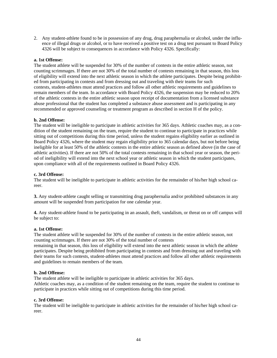2. Any student-athlete found to be in possession of any drug, drug paraphernalia or alcohol, under the influence of illegal drugs or alcohol, or to have received a positive test on a drug test pursuant to Board Policy 4326 will be subject to consequences in accordance with Policy 4326. Specifically:

#### **a. 1st Offense:**

The student athlete will be suspended for 30% of the number of contests in the entire athletic season, not counting scrimmages. If there are not 30% of the total number of contests remaining in that season, this loss of eligibility will extend into the next athletic season in which the athlete participates. Despite being prohibited from participating in contests and from dressing out and traveling with their teams for such contests, student-athletes must attend practices and follow all other athletic requirements and guidelines to remain members of the team. In accordance with Board Policy 4326, the suspension may be reduced to 20% of the athletic contests in the entire athletic season upon receipt of documentation from a licensed substance abuse professional that the student has completed a substance abuse assessment and is participating in any recommended or approved counseling or treatment program as described in section H of the policy.

#### **b. 2nd Offense:**

The student will be ineligible to participate in athletic activities for 365 days. Athletic coaches may, as a condition of the student remaining on the team, require the student to continue to participate in practices while sitting out of competitions during this time period, unless the student regains eligibility earlier as outlined in Board Policy 4326, where the student may regain eligibility prior to 365 calendar days, but not before being ineligible for at least 50% of the athletic contests in the entire athletic season as defined above (in the case of athletic activities). If there are not 50% of the total contests remaining in that school year or season, the period of ineligibility will extend into the next school year or athletic season in which the student participates, upon compliance with all of the requirements outlined in Board Policy 4326.

#### **c. 3rd Offense:**

The student will be ineligible to participate in athletic activities for the remainder of his/her high school career.

**3.** Any student-athlete caught selling or transmitting drug paraphernalia and/or prohibited substances in any amount will be suspended from participation for one calendar year.

**4.** Any student-athlete found to be participating in an assault, theft, vandalism, or threat on or off campus will be subject to:

#### **a. 1st Offense:**

The student athlete will be suspended for 30% of the number of contests in the entire athletic season, not counting scrimmages. If there are not 30% of the total number of contests

remaining in that season, this loss of eligibility will extend into the next athletic season in which the athlete participates. Despite being prohibited from participating in contests and from dressing out and traveling with their teams for such contests, student-athletes must attend practices and follow all other athletic requirements and guidelines to remain members of the team.

#### **b. 2nd Offense:**

The student athlete will be ineligible to participate in athletic activities for 365 days.

Athletic coaches may, as a condition of the student remaining on the team, require the student to continue to participate in practices while sitting out of competitions during this time period.

#### **c. 3rd Offense:**

The student will be ineligible to participate in athletic activities for the remainder of his/her high school career.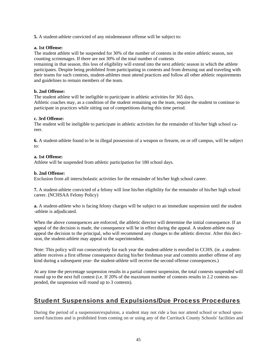**5.** A student-athlete convicted of any misdemeanor offense will be subject to:

#### **a. 1st Offense:**

The student athlete will be suspended for 30% of the number of contests in the entire athletic season, not counting scrimmages. If there are not 30% of the total number of contests

remaining in that season, this loss of eligibility will extend into the next athletic season in which the athlete participates. Despite being prohibited from participating in contests and from dressing out and traveling with their teams for such contests, student-athletes must attend practices and follow all other athletic requirements and guidelines to remain members of the team.

#### **b. 2nd Offense:**

The student athlete will be ineligible to participate in athletic activities for 365 days. Athletic coaches may, as a condition of the student remaining on the team, require the student to continue to participate in practices while sitting out of competitions during this time period.

#### **c. 3rd Offense:**

The student will be ineligible to participate in athletic activities for the remainder of his/her high school career.

**6.** A student-athlete found to be in illegal possession of a weapon or firearm, on or off campus, will be subject to:

#### **a. 1st Offense:**

Athlete will be suspended from athletic participation for 180 school days.

#### **b. 2nd Offense:**

Exclusion from all interscholastic activities for the remainder of his/her high school career.

**7.** A student-athlete convicted of a felony will lose his/her eligibility for the remainder of his/her high school career. (NCHSAA Felony Policy)

**a.** A student-athlete who is facing felony charges will be subject to an immediate suspension until the student -athlete is adjudicated.

When the above consequences are enforced, the athletic director will determine the initial consequence. If an appeal of the decision is made, the consequence will be in effect during the appeal. A student-athlete may appeal the decision to the principal, who will recommend any changes to the athletic director. After this decision, the student-athlete may appeal to the superintendent.

Note: This policy will run consecutively for each year the student-athlete is enrolled in CCHS. (ie. a studentathlete receives a first offense consequence during his/her freshman year and commits another offense of any kind during a subsequent year- the student-athlete will receive the second offense consequences.)

At any time the percentage suspension results in a partial contest suspension, the total contests suspended will round up to the next full contest (i.e. If 20% of the maximum number of contests results in 2.2 contests suspended, the suspension will round up to 3 contests).

### Student Suspensions and Expulsions/Due Process Procedures

During the period of a suspension/expulsion, a student may not ride a bus nor attend school or school sponsored functions and is prohibited from coming on or using any of the Currituck County Schools' facilities and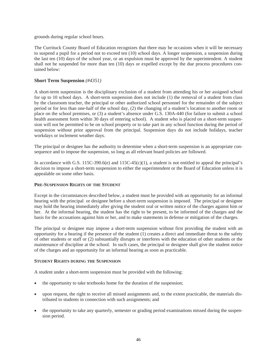grounds during regular school hours.

The Currituck County Board of Education recognizes that there may be occasions when it will be necessary to suspend a pupil for a period not to exceed ten (10) school days. A longer suspension, a suspension during the last ten (10) days of the school year, or an expulsion must be approved by the superintendent. A student shall not be suspended for more than ten (10) days or expelled except by the due process procedures contained below:

#### **Short Term Suspension** *(#4351)*

A short-term suspension is the disciplinary exclusion of a student from attending his or her assigned school for up to 10 school days. A short-term suspension does not include (1) the removal of a student from class by the classroom teacher, the principal or other authorized school personnel for the remainder of the subject period or for less than one-half of the school day, (2) the changing of a student's location to another room or place on the school premises, or (3) a student's absence under G.S. 130A-440 (for failure to submit a school health assessment form within 30 days of entering school). A student who is placed on a short-term suspension will not be permitted to be on school property or to take part in any school function during the period of suspension without prior approval from the principal. Suspension days do not include holidays, teacher workdays or inclement weather days.

The principal or designee has the authority to determine when a short-term suspension is an appropriate consequence and to impose the suspension, so long as all relevant board policies are followed.

In accordance with G.S. 115C-390.6(e) and 115C-45(c)(1), a student is not entitled to appeal the principal's decision to impose a short-term suspension to either the superintendent or the Board of Education unless it is appealable on some other basis.

#### **PRE-SUSPENSION RIGHTS OF THE STUDENT**

Except in the circumstances described below, a student must be provided with an opportunity for an informal hearing with the principal or designee before a short-term suspension is imposed. The principal or designee may hold the hearing immediately after giving the student oral or written notice of the charges against him or her. At the informal hearing, the student has the right to be present, to be informed of the charges and the basis for the accusations against him or her, and to make statements in defense or mitigation of the charges.

The principal or designee may impose a short-term suspension without first providing the student with an opportunity for a hearing if the presence of the student (1) creates a direct and immediate threat to the safety of other students or staff or (2) substantially disrupts or interferes with the education of other students or the maintenance of discipline at the school. In such cases, the principal or designee shall give the student notice of the charges and an opportunity for an informal hearing as soon as practicable.

#### **STUDENT RIGHTS DURING THE SUSPENSION**

A student under a short-term suspension must be provided with the following:

- the opportunity to take textbooks home for the duration of the suspension;
- upon request, the right to receive all missed assignments and, to the extent practicable, the materials distributed to students in connection with such assignments; and
- the opportunity to take any quarterly, semester or grading period examinations missed during the suspension period.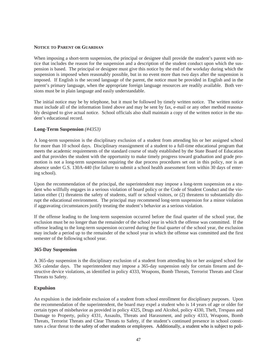#### **NOTICE TO PARENT OR GUARDIAN**

When imposing a short-term suspension, the principal or designee shall provide the student's parent with notice that includes the reason for the suspension and a description of the student conduct upon which the suspension is based. The principal or designee must give this notice by the end of the workday during which the suspension is imposed when reasonably possible, but in no event more than two days after the suspension is imposed. If English is the second language of the parent, the notice must be provided in English and in the parent's primary language, when the appropriate foreign language resources are readily available. Both versions must be in plain language and easily understandable.

The initial notice may be by telephone, but it must be followed by timely written notice. The written notice must include all of the information listed above and may be sent by fax, e-mail or any other method reasonably designed to give actual notice. School officials also shall maintain a copy of the written notice in the student's educational record.

#### **Long-Term Suspension** *(#4353)*

A long-term suspension is the disciplinary exclusion of a student from attending his or her assigned school for more than 10 school days. Disciplinary reassignment of a student to a full-time educational program that meets the academic requirements of the standard course of study established by the State Board of Education and that provides the student with the opportunity to make timely progress toward graduation and grade promotion is not a long-term suspension requiring the due process procedures set out in this policy, nor is an absence under G.S. 130A-440 (for failure to submit a school health assessment form within 30 days of entering school).

Upon the recommendation of the principal, the superintendent may impose a long-term suspension on a student who willfully engages in a serious violation of board policy or the Code of Student Conduct and the violation either (1) threatens the safety of students, staff or school visitors, or (2) threatens to substantially disrupt the educational environment. The principal may recommend long-term suspension for a minor violation if aggravating circumstances justify treating the student's behavior as a serious violation.

If the offense leading to the long-term suspension occurred before the final quarter of the school year, the exclusion must be no longer than the remainder of the school year in which the offense was committed. If the offense leading to the long-term suspension occurred during the final quarter of the school year, the exclusion may include a period up to the remainder of the school year in which the offense was committed and the first semester of the following school year.

#### **365-Day Suspension**

A 365-day suspension is the disciplinary exclusion of a student from attending his or her assigned school for 365 calendar days. The superintendent may impose a 365-day suspension only for certain firearm and destructive device violations, as identified in policy 4333, Weapons, Bomb Threats, Terrorist Threats and Clear Threats to Safety.

#### **Expulsion**

An expulsion is the indefinite exclusion of a student from school enrollment for disciplinary purposes. Upon the recommendation of the superintendent, the board may expel a student who is 14 years of age or older for certain types of misbehavior as provided in policy 4325, Drugs and Alcohol, policy 4330, Theft, Trespass and Damage to Property, policy 4331, Assaults, Threats and Harassment, and policy 4333, Weapons, Bomb Threats, Terrorist Threats and Clear Threats to Safety, if the student's continued presence in school constitutes a clear threat to the safety of other students or employees. Additionally, a student who is subject to poli-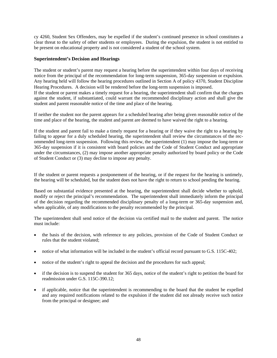cy 4260, Student Sex Offenders, may be expelled if the student's continued presence in school constitutes a clear threat to the safety of other students or employees. During the expulsion, the student is not entitled to be present on educational property and is not considered a student of the school system.

#### **Superintendent's Decision and Hearings**

The student or student's parent may request a hearing before the superintendent within four days of receiving notice from the principal of the recommendation for long-term suspension, 365-day suspension or expulsion. Any hearing held will follow the hearing procedures outlined in Section A of policy 4370, Student Discipline Hearing Procedures. A decision will be rendered before the long-term suspension is imposed.

If the student or parent makes a timely request for a hearing, the superintendent shall confirm that the charges against the student, if substantiated, could warrant the recommended disciplinary action and shall give the student and parent reasonable notice of the time and place of the hearing.

If neither the student nor the parent appears for a scheduled hearing after being given reasonable notice of the time and place of the hearing, the student and parent are deemed to have waived the right to a hearing.

If the student and parent fail to make a timely request for a hearing or if they waive the right to a hearing by failing to appear for a duly scheduled hearing, the superintendent shall review the circumstances of the recommended long-term suspension. Following this review, the superintendent (1) may impose the long-term or 365-day suspension if it is consistent with board policies and the Code of Student Conduct and appropriate under the circumstances, (2) may impose another appropriate penalty authorized by board policy or the Code of Student Conduct or (3) may decline to impose any penalty.

If the student or parent requests a postponement of the hearing, or if the request for the hearing is untimely, the hearing will be scheduled, but the student does not have the right to return to school pending the hearing.

Based on substantial evidence presented at the hearing, the superintendent shall decide whether to uphold, modify or reject the principal's recommendation. The superintendent shall immediately inform the principal of the decision regarding the recommended disciplinary penalty of a long-term or 365-day suspension and, when applicable, of any modifications to the penalty recommended by the principal.

The superintendent shall send notice of the decision via certified mail to the student and parent. The notice must include:

- the basis of the decision, with reference to any policies, provision of the Code of Student Conduct or rules that the student violated;
- notice of what information will be included in the student's official record pursuant to G.S. 115C-402;
- notice of the student's right to appeal the decision and the procedures for such appeal;
- if the decision is to suspend the student for 365 days, notice of the student's right to petition the board for readmission under G.S. 115C-390.12;
- if applicable, notice that the superintendent is recommending to the board that the student be expelled and any required notifications related to the expulsion if the student did not already receive such notice from the principal or designee; and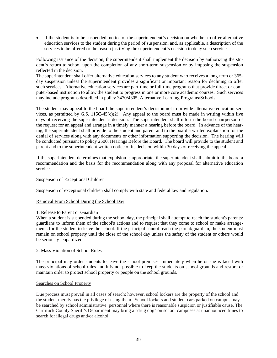if the student is to be suspended, notice of the superintendent's decision on whether to offer alternative education services to the student during the period of suspension, and, as applicable, a description of the services to be offered or the reason justifying the superintendent's decision to deny such services.

Following issuance of the decision, the superintendent shall implement the decision by authorizing the student's return to school upon the completion of any short-term suspension or by imposing the suspension reflected in the decision.

The superintendent shall offer alternative education services to any student who receives a long-term or 365 day suspension unless the superintendent provides a significant or important reason for declining to offer such services. Alternative education services are part-time or full-time programs that provide direct or computer-based instruction to allow the student to progress in one or more core academic courses. Such services may include programs described in policy 3470/4305, Alternative Learning Programs/Schools.

The student may appeal to the board the superintendent's decision not to provide alternative education services, as permitted by G.S.  $115C-45(c)(2)$ . Any appeal to the board must be made in writing within five days of receiving the superintendent's decision. The superintendent shall inform the board chairperson of the request for an appeal and arrange in a timely manner a hearing before the board. In advance of the hearing, the superintendent shall provide to the student and parent and to the board a written explanation for the denial of services along with any documents or other information supporting the decision. The hearing will be conducted pursuant to policy 2500, Hearings Before the Board. The board will provide to the student and parent and to the superintendent written notice of its decision within 30 days of receiving the appeal.

If the superintendent determines that expulsion is appropriate, the superintendent shall submit to the board a recommendation and the basis for the recommendation along with any proposal for alternative education services.

#### Suspension of Exceptional Children

Suspension of exceptional children shall comply with state and federal law and regulation.

#### Removal From School During the School Day

#### 1. Release to Parent or Guardian

When a student is suspended during the school day, the principal shall attempt to reach the student's parents/ guardians to inform them of the school's actions and to request that they come to school or make arrangements for the student to leave the school. If the principal cannot reach the parent/guardian, the student must remain on school property until the close of the school day unless the safety of the student or others would be seriously jeopardized.

#### 2. Mass Violation of School Rules

The principal may order students to leave the school premises immediately when he or she is faced with mass violations of school rules and it is not possible to keep the students on school grounds and restore or maintain order to protect school property or people on the school grounds.

#### Searches on School Property

Due process must prevail in all cases of search; however, school lockers are the property of the school and the student merely has the privilege of using them. School lockers and student cars parked on campus may be searched by school administrative personnel where there is reasonable suspicion or justifiable cause. The Currituck County Sheriff's Department may bring a "drug dog" on school campuses at unannounced times to search for illegal drugs and/or alcohol.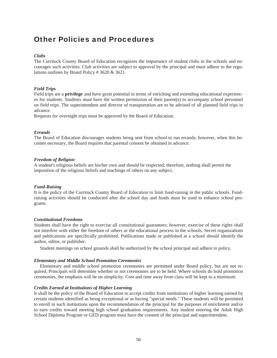## Other Policies and Procedures

#### *Clubs*

The Currituck County Board of Education recognizes the importance of student clubs in the schools and encourages such activities. Club activities are subject to approval by the principal and must adhere to the regulations outlines by Board Policy # 3620 & 3621.

#### *Field Trips*

Field trips are a **privilege** and have great potential in terms of enriching and extending educational experiences for students. Students must have the written permission of their parent(s) to accompany school personnel on field trips. The superintendent and director of transportation are to be advised of all planned field trips in advance.

Requests for overnight trips must be approved by the Board of Education.

#### *Errands*

The Board of Education discourages students being sent from school to run errands; however, when this becomes necessary, the Board requires that parental consent be obtained in advance.

#### *Freedom of Religion*

A student's religious beliefs are his/her own and should be respected; therefore, nothing shall permit the imposition of the religious beliefs and teachings of others on any subject.

#### *Fund-Raising*

It is the policy of the Currituck County Board of Education to limit fund-raising in the public schools. Fundraising activities should be conducted after the school day and funds must be used to enhance school programs.

#### *Constitutional Freedoms*

Students shall have the right to exercise all constitutional guarantees; however, exercise of these rights shall not interfere with either the freedom of others or the educational process in the schools. Secret organizations and publications are specifically prohibited. Publications made or published at a school should identify the author, editor, or publisher.

Student meetings on school grounds shall be authorized by the school principal and adhere to policy.

#### *Elementary and Middle School Promotion Ceremonies*

 Elementary and middle school promotion ceremonies are permitted under Board policy, but are not required. Principals will determine whether or not ceremonies are to be held. Where schools do hold promotion ceremonies, the emphasis will be on simplicity. Cost and time away from class will be kept to a minimum.

#### *Credits Earned at Institutions of Higher Learning*

It shall be the policy of the Board of Education to accept credits from institutions of higher learning earned by certain students identified as being exceptional or as having "special needs." These students will be permitted to enroll in such institutions upon the recommendation of the principal for the purposes of enrichment and/or to earn credits toward meeting high school graduation requirements. Any student entering the Adult High School Diploma Program or GED program must have the consent of the principal and superintendent.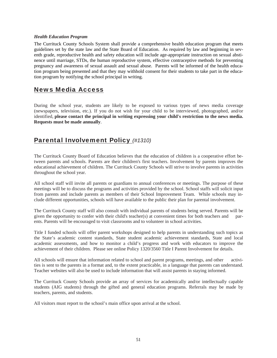#### *Health Education Program*

The Currituck County Schools System shall provide a comprehensive health education program that meets guidelines set by the state law and the State Board of Education. As required by law and beginning in seventh grade, reproductive health and safety education will include age-appropriate instruction on sexual abstinence until marriage, STDs, the human reproductive system, effective contraceptive methods for preventing pregnancy and awareness of sexual assault and sexual abuse. Parents will be informed of the health education program being presented and that they may withhold consent for their students to take part in the education program by notifying the school principal in writing.

### News Media Access

During the school year, students are likely to be exposed to various types of news media coverage (newspapers, television, etc.). If you do not wish for your child to be interviewed, photographed, and/or identified, **please contact the principal in writing expressing your child's restriction to the news media. Requests must be made annually**.

### Parental Involvement Policy *(#1310)*

The Currituck County Board of Education believes that the education of children is a cooperative effort between parents and schools. Parents are their children's first teachers. Involvement by parents improves the educational achievement of children. The Currituck County Schools will strive to involve parents in activities throughout the school year.

All school staff will invite all parents or guardians to annual conferences or meetings. The purpose of these meetings will be to discuss the programs and activities provided by the school. School staffs will solicit input from parents and include parents as members of their School Improvement Team. While schools may include different opportunities, schools will have available to the public their plan for parental involvement.

The Currituck County staff will also consult with individual parents of students being served. Parents will be given the opportunity to confer with their child's teacher(s) at convenient times for both teachers and parents. Parents will be encouraged to visit classrooms and to volunteer in school activities.

Title I funded schools will offer parent workshops designed to help parents in understanding such topics as the State's academic content standards, State student academic achievement standards, State and local academic assessments, and how to monitor a child's progress and work with educators to improve the achievement of their children. Please see online Policy 1320/3560 Title I Parent Involvement for details.

All schools will ensure that information related to school and parent programs, meetings, and other activities is sent to the parents in a format and, to the extent practicable, in a language that parents can understand. Teacher websites will also be used to include information that will assist parents in staying informed.

The Currituck County Schools provide an array of services for academically and/or intellectually capable students (AIG students) through the gifted and general education programs. Referrals may be made by teachers, parents, and students.

All visitors must report to the school's main office upon arrival at the school.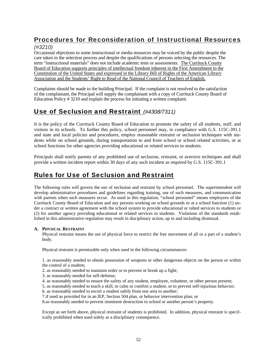### Procedures for Reconsideration of Instructional Resources

#### *(#3210)*

Occasional objections to some instructional or media resources may be voiced by the public despite the care taken in the selection process and despite the qualifications of persons selecting the resources. The term "instructional materials" does not include academic tests or assessments. The Currituck County Board of Education supports principles of intellectual freedom inherent in the First Amendment to the Constitution of the United States and expressed in the Library Bill of Rights of the American Library Association and the Students' Right to Read of the National Council of Teachers of English.

Complaints should be made to the building Principal. If the complaint is not resolved to the satisfaction of the complainant, the Principal will supply the complainant with a copy of Currituck County Board of Education Policy # 3210 and explain the process for initiating a written complaint.

### Use of Seclusion and Restraint *(#4308/7311)*

It is the policy of the Currituck County Board of Education to promote the safety of all students, staff, and visitors in its schools. To further this policy, school personnel may, in compliance with G.S. 115C-391.1 and state and local policies and procedures, employ reasonable restraint or seclusion techniques with students while on school grounds, during transportation to and from school or school related activities, or at school functions for other agencies providing educational or related services to students.

Principals shall notify parents of any prohibited use of seclusion, restraint, or aversive techniques and shall provide a written incident report within 30 days of any such incident as required by G.S. 115C-391.1

### Rules for Use of Seclusion and Restraint

The following rules will govern the use of seclusion and restraint by school personnel. The superintendent will develop administrative procedures and guidelines regarding training, use of such measures, and communication with parents when such measures occur. As used in this regulation, "school personnel" means employees of the Currituck County Board of Education and any persons working on school grounds or at a school function (1) under a contract or written agreement with the school system to provide educational or ralted services to students or (2) for another agency providing educational or related services to students. Violations of the standards established in this administrative regulation may result in disciplinary action, up to and including dismissal.

#### **A. PHYSICAL RESTRAINT**

Physical restraint means the use of physical force to restrict the free movement of all or a part of a student's body.

Physical restraint is permissible only when used in the following circumstances:

1. as reasonably needed to obtain possession of weapons or other dangerous objects on the person or within the control of a student;

- 2. as reasonably needed to maintain order or to prevent or break up a fight;
- 3. as reasonably needed for self-defense;
- 4. as reasonably needed to ensure the safety of any student, employee, volunteer, or other person present;
- 5. as reasonably needed to teach a skill, to calm or comfort a student, or to prevent self-injurious behavior;
- 6. as reasonably needed to escort a student safely from one area to another;
- 7.if used as provided for in an IEP, Section 504 plan, or behavior intervention plan; or

8.as reasonably needed to prevent imminent destruction to school or another person's property.

Except as set forth above, physical restraint of students is prohibited. In addition, physical restraint is specifically prohibited when used solely as a disciplinary consequence.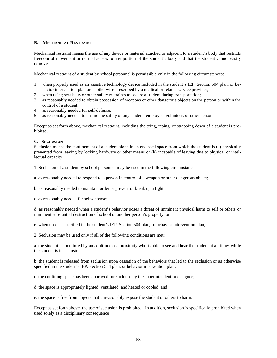#### **B. MECHANICAL RESTRAINT**

Mechanical restraint means the use of any device or material attached or adjacent to a student's body that restricts freedom of movement or normal access to any portion of the student's body and that the student cannot easily remove.

Mechanical restraint of a student by school personnel is permissible only in the following circumstances:

- 1. when properly used as an assistive technology device included in the student's IEP, Section 504 plan, or behavior intervention plan or as otherwise prescribed by a medical or related service provider;
- 2. when using seat belts or other safety restraints to secure a student during transportation;
- 3. as reasonably needed to obtain possession of weapons or other dangerous objects on the person or within the control of a student;
- 4. as reasonably needed for self-defense;
- 5. as reasonably needed to ensure the safety of any student, employee, volunteer, or other person.

Except as set forth above, mechanical restraint, including the tying, taping, or strapping down of a student is prohibited.

#### **C. SECLUSION**

Seclusion means the confinement of a student alone in an enclosed space from which the student is (a) physically prevented from leaving by locking hardware or other means or (b) incapable of leaving due to physical or intellectual capacity.

1. Seclusion of a student by school personnel may be used in the following circumstances:

a. as reasonably needed to respond to a person in control of a weapon or other dangerous object;

b. as reasonably needed to maintain order or prevent or break up a fight;

c. as reasonably needed for self-defense;

d. as reasonably needed when a student's behavior poses a threat of imminent physical harm to self or others or imminent substantial destruction of school or another person's property; or

e. when used as specified in the student's IEP, Section 504 plan, or behavior intervention plan,

2. Seclusion may be used only if all of the following conditions are met:

a. the student is monitored by an adult in close proximity who is able to see and hear the student at all times while the student is in seclusion;

b. the student is released from seclusion upon cessation of the behaviors that led to the seclusion or as otherwise specified in the student's IEP, Section 504 plan, or behavior intervention plan;

c. the confining space has been approved for such use by the superintendent or designee;

d. the space is appropriately lighted, ventilated, and heated or cooled; and

e. the space is free from objects that unreasonably expose the student or others to harm.

Except as set forth above, the use of seclusion is prohibited. In addition, seclusion is specifically prohibited when used solely as a disciplinary consequence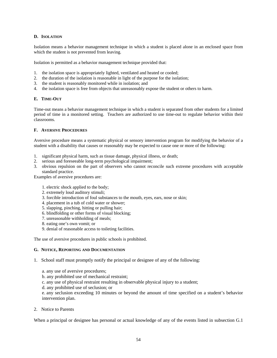#### **D. ISOLATION**

Isolation means a behavior management technique in which a student is placed alone in an enclosed space from which the student is not prevented from leaving.

Isolation is permitted as a behavior management technique provided that:

- 1. the isolation space is appropriately lighted, ventilated and heated or cooled;
- 2. the duration of the isolation is reasonable in light of the purpose for the isolation;
- 3. the student is reasonably monitored while in isolation; and
- 4. the isolation space is free from objects that unreasonably expose the student or others to harm.

#### **E. TIME-OUT**

Time-out means a behavior management technique in which a student is separated from other students for a limited period of time in a monitored setting. Teachers are authorized to use time-out to regulate behavior within their classrooms.

#### **F. AVERSIVE PROCEDURES**

Aversive procedure means a systematic physical or sensory intervention program for modifying the behavior of a student with a disability that causes or reasonably may be expected to cause one or more of the following:

- 1. significant physical harm, such as tissue damage, physical illness, or death;
- 2. serious and foreseeable long-term psychological impairment;
- 3. obvious repulsion on the part of observers who cannot reconcile such extreme procedures with acceptable standard practice.

Examples of aversive procedures are:

- 1. electric shock applied to the body;
- 2. extremely loud auditory stimuli;
- 3. forcible introduction of foul substances to the mouth, eyes, ears, nose or skin;
- 4. placement in a tub of cold water or shower;
- 5. slapping, pinching, hitting or pulling hair;
- 6. blindfolding or other forms of visual blocking;
- 7. unreasonable withholding of meals;
- 8. eating one's own vomit; or
- 9. denial of reasonable access to toileting facilities.

The use of aversive procedures in public schools is prohibited.

#### **G. NOTICE, REPORTING AND DOCUMENTATION**

- 1. School staff must promptly notify the principal or designee of any of the following:
	- a. any use of aversive procedures;
	- b. any prohibited use of mechanical restraint;
	- c. any use of physical restraint resulting in observable physical injury to a student;
	- d. any prohibited use of seclusion; or

e. any seclusion exceeding 10 minutes or beyond the amount of time specified on a student's behavior intervention plan.

2. Notice to Parents

When a principal or designee has personal or actual knowledge of any of the events listed in subsection G.1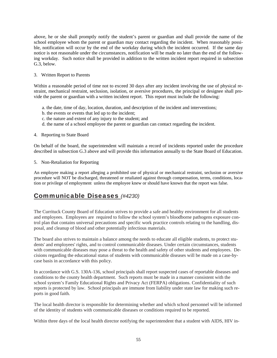above, he or she shall promptly notify the student's parent or guardian and shall provide the name of the school employee whom the parent or guardian may contact regarding the incident. When reasonably possible, notification will occur by the end of the workday during which the incident occurred. If the same day notice is not reasonable under the circumstances, notification will be made no later than the end of the following workday. Such notice shall be provided in addition to the written incident report required in subsection G.3, below.

#### 3. Written Report to Parents

Within a reasonable period of time not to exceed 30 days after any incident involving the use of physical restraint, mechanical restraint, seclusion, isolation, or aversive procedures, the principal or designee shall provide the parent or guardian with a written incident report. This report must include the following:

- a. the date, time of day, location, duration, and description of the incident and interventions;
- b. the events or events that led up to the incident;
- c. the nature and extent of any injury to the student; and
- d. the name of a school employee the parent or guardian can contact regarding the incident.

#### 4. Reporting to State Board

On behalf of the board, the superintendent will maintain a record of incidents reported under the procedure described in subsection G.3 above and will provide this information annually to the State Board of Education.

#### 5. Non-Retaliation for Reporting

An employee making a report alleging a prohibited use of physical or mechanical restraint, seclusion or aversive procedure will NOT be discharged, threatened or retaliated against through compensation, terms, conditions, location or privilege of employment unless the employee knew or should have known that the report was false.

### Communicable Diseases *(#4230)*

The Currituck County Board of Education strives to provide a safe and healthy environment for all students and employees. Employees are required to follow the school system's bloodborne pathogens exposure control plan that contains universal precautions and specific work practice controls relating to the handling, disposal, and cleanup of blood and other potentially infectious materials.

The board also strives to maintain a balance among the needs to educate all eligible students, to protect students' and employees' rights, and to control communicable diseases. Under certain circumstances, students with communicable diseases may pose a threat to the health and safety of other students and employees. Decisions regarding the educational status of students with communicable diseases will be made on a case-bycase basis in accordance with this policy.

In accordance with G.S. 130A-136, school principals shall report suspected cases of reportable diseases and conditions to the county health department. Such reports must be made in a manner consistent with the school system's Family Educational Rights and Privacy Act (FERPA) obligations. Confidentiality of such reports is protected by law. School principals are immune from liability under state law for making such reports in good faith.

The local health director is responsible for determining whether and which school personnel will be informed of the identity of students with communicable diseases or conditions required to be reported.

Within three days of the local health director notifying the superintendent that a student with AIDS, HIV in-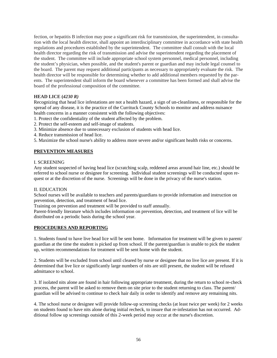fection, or hepatitis B infection may pose a significant risk for transmission, the superintendent, in consultation with the local health director, shall appoint an interdisciplinary committee in accordance with state health regulations and procedures established by the superintendent. The committee shall consult with the local health director regarding the risk of transmission and advise the superintendent regarding the placement of the student. The committee will include appropriate school system personnel, medical personnel, including the student's physician, when possible, and the student's parent or guardian and may include legal counsel to the board. The parent may request additional participants as necessary to appropriately evaluate the risk. The health director will be responsible for determining whether to add additional members requested by the parents. The superintendent shall inform the board whenever a committee has been formed and shall advise the board of the professional composition of the committee.

#### **HEAD LICE (***4230 R)*

Recognizing that head lice infestations are not a health hazard, a sign of un-cleanliness, or responsible for the spread of any disease, it is the practice of the Currituck County Schools to monitor and address nuisance health concerns in a manner consistent with the following objectives:

- 1. Protect the confidentiality of the student affected by the problem.
- 2. Protect the self-esteem and self-image of students.
- 3. Minimize absence due to unnecessary exclusion of students with head lice.
- 4. Reduce transmission of head lice.
- 5. Maximize the school nurse's ability to address more severe and/or significant health risks or concerns.

#### **PREVENTION MEASURES**

#### I. SCREENING

Any student suspected of having head lice (scratching scalp, reddened areas around hair line, etc.) should be referred to school nurse or designee for screening. Individual student screenings will be conducted upon request or at the discretion of the nurse. Screenings will be done in the privacy of the nurse's station.

#### II. EDUCATION

School nurses will be available to teachers and parents/guardians to provide information and instruction on prevention, detection, and treatment of head lice.

Training on prevention and treatment will be provided to staff annually.

Parent-friendly literature which includes information on prevention, detection, and treatment of lice will be distributed on a periodic basis during the school year.

#### **PROCEDURES AND REPORTING**

1. Students found to have live head lice will be sent home. Information for treatment will be given to parent/ guardian at the time the student is picked up from school. If the parent/guardian is unable to pick the student up, written recommendations for treatment will be sent home with the student.

2. Students will be excluded from school until cleared by nurse or designee that no live lice are present. If it is determined that live lice or significantly large numbers of nits are still present, the student will be refused admittance to school.

3. If isolated nits alone are found in hair following appropriate treatment, during the return to school re-check process, the parent will be asked to remove them on site prior to the student returning to class. The parent/ guardian will be advised to continue to check hair daily in order to identify and remove any remaining nits.

4. The school nurse or designee will provide follow-up screening checks (at least twice per week) for 2 weeks on students found to have nits alone during initial recheck, to insure that re-infestation has not occurred. Additional follow up screenings outside of this 2-week period may occur at the nurse's discretion.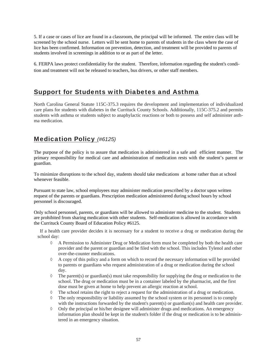5. If a case or cases of lice are found in a classroom, the principal will be informed. The entire class will be screened by the school nurse. Letters will be sent home to parents of students in the class where the case of lice has been confirmed. Information on prevention, detection, and treatment will be provided to parents of students involved in screenings in addition to or as part of the letter.

6. FERPA laws protect confidentiality for the student. Therefore, information regarding the student's condition and treatment will not be released to teachers, bus drivers, or other staff members.

### Support for Students with Diabetes and Asthma

North Carolina General Statute 115C-375.3 requires the development and implementation of individualized care plans for students with diabetes in the Currituck County Schools. Additionally, 115C-375.2 and permits students with asthma or students subject to anaphylactic reactions or both to possess and self administer asthma medication.

### Medication Policy *(#6125)*

The purpose of the policy is to assure that medication is administered in a safe and efficient manner. The primary responsibility for medical care and administration of medication rests with the student's parent or guardian.

To minimize disruptions to the school day, students should take medications at home rather than at school whenever feasible.

Pursuant to state law, school employees may administer medication prescribed by a doctor upon written request of the parents or guardians. Prescription medication administered during school hours by school personnel is discouraged.

Only school personnel, parents, or guardians will be allowed to administer medicine to the student. Students are prohibited from sharing medication with other students. Self-medication is allowed in accordance with the Currituck County Board of Education Policy #6125.

 If a health care provider decides it is necessary for a student to receive a drug or medication during the school day:

- A Permission to Administer Drug or Medication form must be completed by both the health care provider and the parent or guardian and be filed with the school. This includes Tylenol and other over-the-counter medications.
- $\Diamond$  A copy of this policy and a form on which to record the necessary information will be provided to parents or guardians who request administration of a drug or medication during the school day.
- $\Diamond$  The parent(s) or guardian(s) must take responsibility for supplying the drug or medication to the school. The drug or medication must be in a container labeled by the pharmacist, and the first dose must be given at home to help prevent an allergic reaction at school.
- $\Diamond$  The school retains the right to reject a request for the administration of a drug or medication.
- $\Diamond$  The only responsibility or liability assumed by the school system or its personnel is to comply with the instructions forwarded by the student's parent(s) or guardian(s) and health care provider.
- $\Diamond$  Only the principal or his/her designee will administer drugs and medications. An emergency information plan should be kept in the student's folder if the drug or medication is to be administered in an emergency situation.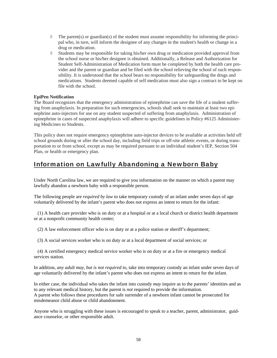- $\Diamond$  The parent(s) or guardian(s) of the student must assume responsibility for informing the principal who, in turn, will inform the designee of any changes in the student's health or change in a drug or medication.
- Students may be responsible for taking his/her own drug or medication provided approval from the school nurse or his/her designee is obtained. Additionally, a Release and Authorization for Student Self-Administration of Medication form must be completed by both the health care provider and the parent or guardian and be filed with the school relieving the school of such responsibility. It is understood that the school bears no responsibility for safeguarding the drugs and medications. Students deemed capable of self medication must also sign a contract to be kept on file with the school.

#### **EpiPen Notification**

The Board recognizes that the emergency administration of epinephrine can save the life of a student suffering from anaphylaxis. In preparation for such emergencies, schools shall seek to maintain at least two epinephrine auto-injectors for use on any student suspected of suffering from anaphylaxis. Administration of epinephrine in cases of suspected anaphylaxis will adhere to specific guidelines in Policy #6125 Administering Medicines to Students.

This policy does not require emergency epinephrine auto-injector devices to be available at activities held off school grounds during or after the school day, including field trips or off-site athletic events, or during transportation to or from school, except as may be required pursuant to an individual student's IEP, Section 504 Plan, or health or emergency plan.

### Information on Lawfully Abandoning a Newborn Baby

Under North Carolina law, we are required to give you information on the manner on which a parent may lawfully abandon a newborn baby with a responsible person.

The following people are *required by law* to take temporary custody of an infant under seven days of age voluntarily delivered by the infant's parent who does not express an intent to return for the infant:

 (1) A health care provider who is on duty or at a hospital or at a local church or district health department or at a nonprofit community health center;

(2) A law enforcement officer who is on duty or at a police station or sheriff's department;

(3) A social services worker who is on duty or at a local department of social services; or

 (4) A certified emergency medical service worker who is on duty or at a fire or emergency medical services station.

In addition, *any adult may, but is not required to*, take into temporary custody an infant under seven days of age voluntarily delivered by the infant's parent who does not express an intent to return for the infant.

In either case, the individual who takes the infant into custody *may* inquire as to the parents' identities and as to any relevant medical history, but the parent is *not* required to provide the information. A parent who follows these procedures for safe surrender of a newborn infant cannot be prosecuted for misdemeanor child abuse or child abandonment.

Anyone who is struggling with these issues is encouraged to speak to a teacher, parent, administrator, guidance counselor, or other responsible adult.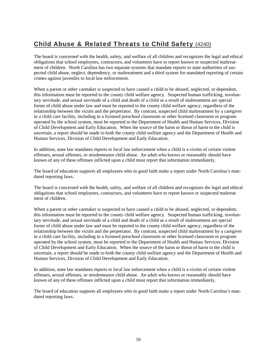## Child Abuse & Related Threats to Child Safety (4240)

The board is concerned with the health, safety, and welfare of all children and recognizes the legal and ethical obligations that school employees, contractors, and volunteers have to report known or suspected maltreatment of children. North Carolina has two separate systems that mandate reports to state authorities of suspected child abuse, neglect, dependency, or maltreatment and a third system for mandated reporting of certain crimes against juveniles to local law enforcement.

When a parent or other caretaker is suspected to have caused a child to be abused, neglected, or dependent, this information must be reported to the county child welfare agency. Suspected human trafficking, involuntary servitude, and sexual servitude of a child and death of a child as a result of maltreatment are special forms of child abuse under law and must be reported to the county child welfare agency, regardless of the relationship between the victim and the perpetrator. By contrast, suspected child maltreatment by a caregiver in a child care facility, including in a licensed preschool classroom or other licensed classroom or program operated by the school system, must be reported to the Department of Health and Human Services, Division of Child Development and Early Education. When the source of the harm or threat of harm to the child is uncertain, a report should be made to both the county child welfare agency and the Department of Health and Human Services, Division of Child Development and Early Education.

In addition, state law mandates reports to local law enforcement when a child is a victim of certain violent offenses, sexual offenses, or misdemeanor child abuse. An adult who knows or reasonably should have known of any of these offenses inflicted upon a child must report that information immediately.

The board of education supports all employees who in good faith make a report under North Carolina's mandated reporting laws.

The board is concerned with the health, safety, and welfare of all children and recognizes the legal and ethical obligations that school employees, contractors, and volunteers have to report known or suspected maltreatment of children.

When a parent or other caretaker is suspected to have caused a child to be abused, neglected, or dependent, this information must be reported to the county child welfare agency. Suspected human trafficking, involuntary servitude, and sexual servitude of a child and death of a child as a result of maltreatment are special forms of child abuse under law and must be reported to the county child welfare agency, regardless of the relationship between the victim and the perpetrator. By contrast, suspected child maltreatment by a caregiver in a child care facility, including in a licensed preschool classroom or other licensed classroom or program operated by the school system, must be reported to the Department of Health and Human Services, Division of Child Development and Early Education. When the source of the harm or threat of harm to the child is uncertain, a report should be made to both the county child welfare agency and the Department of Health and Human Services, Division of Child Development and Early Education.

In addition, state law mandates reports to local law enforcement when a child is a victim of certain violent offenses, sexual offenses, or misdemeanor child abuse. An adult who knows or reasonably should have known of any of these offenses inflicted upon a child must report that information immediately.

The board of education supports all employees who in good faith make a report under North Carolina's mandated reporting laws.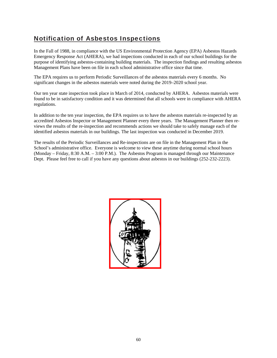### Notification of Asbestos Inspections

In the Fall of 1988, in compliance with the US Environmental Protection Agency (EPA) Asbestos Hazards Emergency Response Act (AHERA), we had inspections conducted in each of our school buildings for the purpose of identifying asbestos-containing building materials. The inspection findings and resulting asbestos Management Plans have been on file in each school administrative office since that time.

The EPA requires us to perform Periodic Surveillances of the asbestos materials every 6 months. No significant changes in the asbestos materials were noted during the 2019–2020 school year.

Our ten year state inspection took place in March of 2014, conducted by AHERA. Asbestos materials were found to be in satisfactory condition and it was determined that all schools were in compliance with AHERA regulations.

In addition to the ten year inspection, the EPA requires us to have the asbestos materials re-inspected by an accredited Asbestos Inspector or Management Planner every three years. The Management Planner then reviews the results of the re-inspection and recommends actions we should take to safely manage each of the identified asbestos materials in our buildings. The last inspection was conducted in December 2019.

The results of the Periodic Surveillances and Re-inspections are on file in the Management Plan in the School's administrative office. Everyone is welcome to view these anytime during normal school hours (Monday – Friday, 8:30 A.M. – 3:00 P.M.). The Asbestos Program is managed through our Maintenance Dept. Please feel free to call if you have any questions about asbestos in our buildings (252-232-2223).